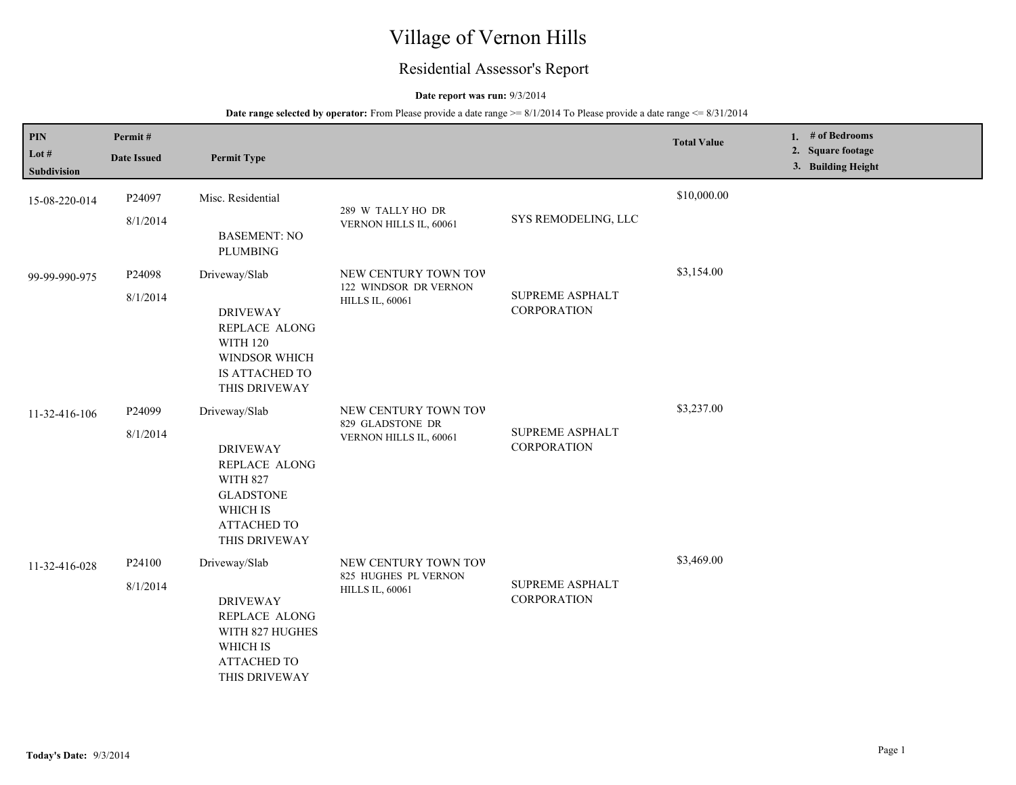# Village of Vernon Hills

## Residential Assessor's Report

#### **Date report was run:** 9/3/2014

| PIN<br>Lot #<br>Subdivision | Permit#<br><b>Date Issued</b> | <b>Permit Type</b>                                                                                                                          |                                                                         |                                              | <b>Total Value</b> | 1. $#$ of Bedrooms<br>2. Square footage<br>3. Building Height |
|-----------------------------|-------------------------------|---------------------------------------------------------------------------------------------------------------------------------------------|-------------------------------------------------------------------------|----------------------------------------------|--------------------|---------------------------------------------------------------|
| 15-08-220-014               | P24097<br>8/1/2014            | Misc. Residential<br><b>BASEMENT: NO</b><br><b>PLUMBING</b>                                                                                 | 289 W TALLY HO DR<br>VERNON HILLS IL, 60061                             | SYS REMODELING, LLC                          | \$10,000.00        |                                                               |
| 99-99-990-975               | P24098<br>8/1/2014            | Driveway/Slab<br><b>DRIVEWAY</b><br>REPLACE ALONG<br><b>WITH 120</b><br>WINDSOR WHICH<br>IS ATTACHED TO<br>THIS DRIVEWAY                    | NEW CENTURY TOWN TOV<br>122 WINDSOR DR VERNON<br><b>HILLS IL, 60061</b> | SUPREME ASPHALT<br><b>CORPORATION</b>        | \$3,154.00         |                                                               |
| 11-32-416-106               | P24099<br>8/1/2014            | Driveway/Slab<br><b>DRIVEWAY</b><br>REPLACE ALONG<br><b>WITH 827</b><br><b>GLADSTONE</b><br>WHICH IS<br><b>ATTACHED TO</b><br>THIS DRIVEWAY | NEW CENTURY TOWN TOV<br>829 GLADSTONE DR<br>VERNON HILLS IL, 60061      | <b>SUPREME ASPHALT</b><br><b>CORPORATION</b> | \$3,237.00         |                                                               |
| 11-32-416-028               | P24100<br>8/1/2014            | Driveway/Slab<br><b>DRIVEWAY</b><br>REPLACE ALONG<br>WITH 827 HUGHES<br>WHICH IS<br><b>ATTACHED TO</b><br>THIS DRIVEWAY                     | NEW CENTURY TOWN TOV<br>825 HUGHES PL VERNON<br><b>HILLS IL, 60061</b>  | <b>SUPREME ASPHALT</b><br><b>CORPORATION</b> | \$3,469.00         |                                                               |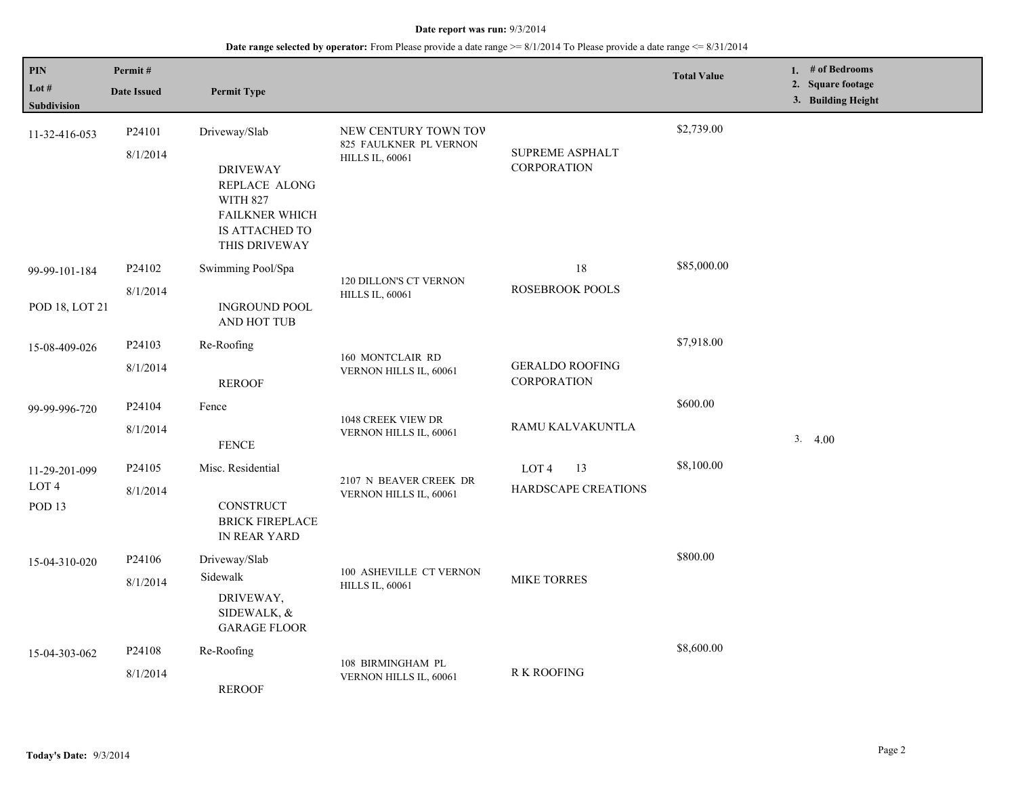| PIN<br>Lot #<br>Subdivision                            | Permit#<br><b>Date Issued</b> | <b>Permit Type</b>                                                                                                               |                                                                          |                                               | <b>Total Value</b> | 1. # of Bedrooms<br>2. Square footage<br>3. Building Height |
|--------------------------------------------------------|-------------------------------|----------------------------------------------------------------------------------------------------------------------------------|--------------------------------------------------------------------------|-----------------------------------------------|--------------------|-------------------------------------------------------------|
| 11-32-416-053                                          | P24101<br>8/1/2014            | Driveway/Slab<br><b>DRIVEWAY</b><br>REPLACE ALONG<br><b>WITH 827</b><br><b>FAILKNER WHICH</b><br>IS ATTACHED TO<br>THIS DRIVEWAY | NEW CENTURY TOWN TOV<br>825 FAULKNER PL VERNON<br><b>HILLS IL, 60061</b> | SUPREME ASPHALT<br><b>CORPORATION</b>         | \$2,739.00         |                                                             |
| 99-99-101-184<br>POD 18, LOT 21                        | P24102<br>8/1/2014            | Swimming Pool/Spa<br><b>INGROUND POOL</b><br>AND HOT TUB                                                                         | 120 DILLON'S CT VERNON<br><b>HILLS IL, 60061</b>                         | 18<br>ROSEBROOK POOLS                         | \$85,000.00        |                                                             |
| 15-08-409-026                                          | P24103<br>8/1/2014            | Re-Roofing<br><b>REROOF</b>                                                                                                      | 160 MONTCLAIR RD<br>VERNON HILLS IL, 60061                               | <b>GERALDO ROOFING</b><br>CORPORATION         | \$7,918.00         |                                                             |
| 99-99-996-720                                          | P24104<br>8/1/2014            | Fence<br><b>FENCE</b>                                                                                                            | 1048 CREEK VIEW DR<br>VERNON HILLS IL, 60061                             | RAMU KALVAKUNTLA                              | \$600.00           | 3.4.00                                                      |
| 11-29-201-099<br>LOT <sub>4</sub><br>POD <sub>13</sub> | P24105<br>8/1/2014            | Misc. Residential<br>CONSTRUCT<br><b>BRICK FIREPLACE</b><br>IN REAR YARD                                                         | 2107 N BEAVER CREEK DR<br>VERNON HILLS IL, 60061                         | 13<br>LOT <sub>4</sub><br>HARDSCAPE CREATIONS | \$8,100.00         |                                                             |
| 15-04-310-020                                          | P24106<br>8/1/2014            | Driveway/Slab<br>Sidewalk<br>DRIVEWAY,<br>SIDEWALK, &<br><b>GARAGE FLOOR</b>                                                     | 100 ASHEVILLE CT VERNON<br><b>HILLS IL, 60061</b>                        | <b>MIKE TORRES</b>                            | \$800.00           |                                                             |
| 15-04-303-062                                          | P24108<br>8/1/2014            | Re-Roofing<br><b>REROOF</b>                                                                                                      | 108 BIRMINGHAM PL<br>VERNON HILLS IL, 60061                              | <b>R K ROOFING</b>                            | \$8,600.00         |                                                             |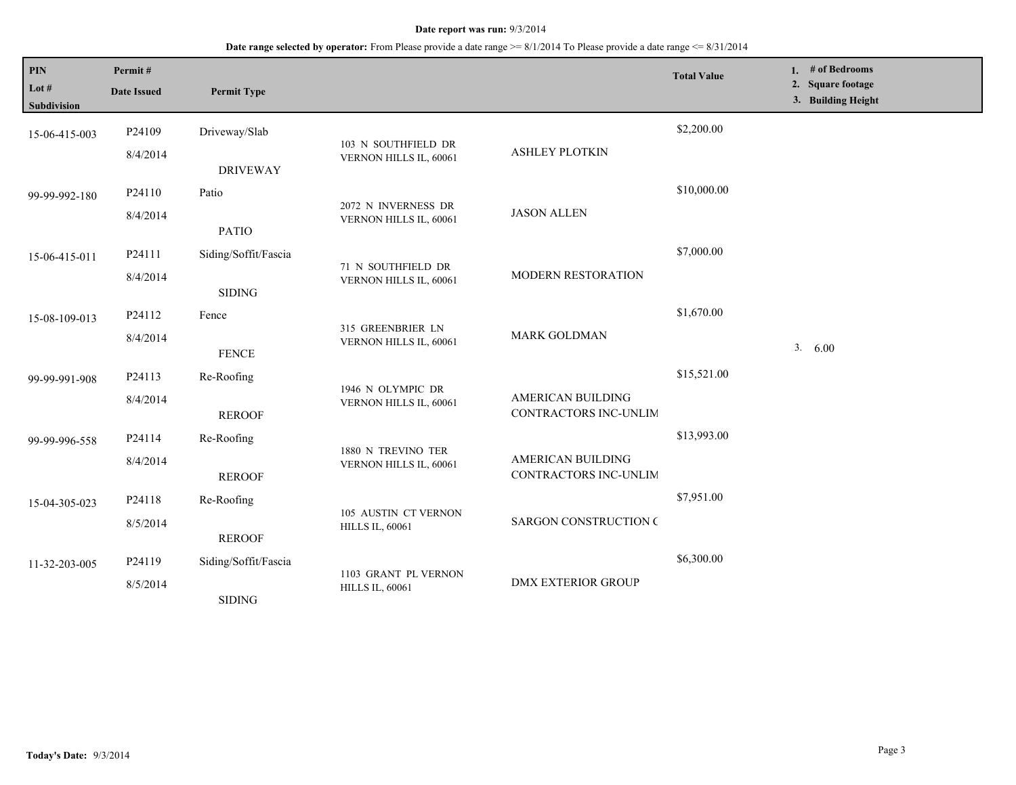| PIN                  | Permit#            |                      |                                                |                                            | <b>Total Value</b> | 1. # of Bedrooms                        |
|----------------------|--------------------|----------------------|------------------------------------------------|--------------------------------------------|--------------------|-----------------------------------------|
| Lot #<br>Subdivision | <b>Date Issued</b> | <b>Permit Type</b>   |                                                |                                            |                    | 2. Square footage<br>3. Building Height |
| 15-06-415-003        | P24109             | Driveway/Slab        |                                                |                                            | \$2,200.00         |                                         |
|                      | 8/4/2014           | <b>DRIVEWAY</b>      | 103 N SOUTHFIELD DR<br>VERNON HILLS IL, 60061  | <b>ASHLEY PLOTKIN</b>                      |                    |                                         |
| 99-99-992-180        | P24110             | Patio                | 2072 N INVERNESS DR                            |                                            | \$10,000.00        |                                         |
|                      | 8/4/2014           | <b>PATIO</b>         | VERNON HILLS IL, 60061                         | <b>JASON ALLEN</b>                         |                    |                                         |
| 15-06-415-011        | P24111             | Siding/Soffit/Fascia | 71 N SOUTHFIELD DR                             |                                            | \$7,000.00         |                                         |
|                      | 8/4/2014           | <b>SIDING</b>        | VERNON HILLS IL, 60061                         | MODERN RESTORATION                         |                    |                                         |
| 15-08-109-013        | P24112             | Fence                |                                                |                                            | \$1,670.00         |                                         |
|                      | 8/4/2014           | <b>FENCE</b>         | 315 GREENBRIER LN<br>VERNON HILLS IL, 60061    | <b>MARK GOLDMAN</b>                        |                    | 3. 6.00                                 |
| 99-99-991-908        | P24113             | Re-Roofing           | 1946 N OLYMPIC DR<br>VERNON HILLS IL, 60061    |                                            | \$15,521.00        |                                         |
|                      | 8/4/2014           | <b>REROOF</b>        |                                                | AMERICAN BUILDING<br>CONTRACTORS INC-UNLIM |                    |                                         |
| 99-99-996-558        | P24114             | Re-Roofing           | 1880 N TREVINO TER                             |                                            | \$13,993.00        |                                         |
|                      | 8/4/2014           | <b>REROOF</b>        | VERNON HILLS IL, 60061                         | AMERICAN BUILDING<br>CONTRACTORS INC-UNLIM |                    |                                         |
| 15-04-305-023        | P24118             | Re-Roofing           |                                                |                                            | \$7,951.00         |                                         |
|                      | 8/5/2014           | <b>REROOF</b>        | 105 AUSTIN CT VERNON<br><b>HILLS IL, 60061</b> | <b>SARGON CONSTRUCTION C</b>               |                    |                                         |
| 11-32-203-005        | P24119             | Siding/Soffit/Fascia |                                                |                                            | \$6,300.00         |                                         |
|                      | 8/5/2014           | <b>SIDING</b>        | 1103 GRANT PL VERNON<br><b>HILLS IL, 60061</b> | <b>DMX EXTERIOR GROUP</b>                  |                    |                                         |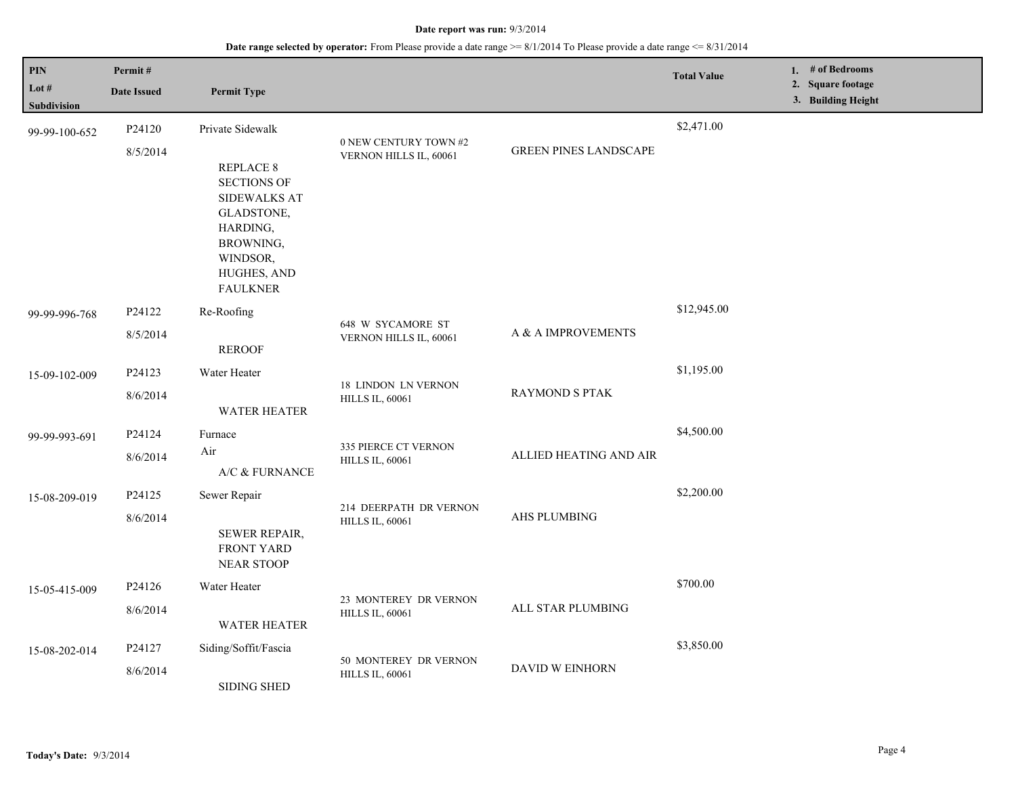| PIN<br>Lot $#$     | Permit#            |                                                                                                                                             |                                                      |                              | <b>Total Value</b> | 1. $#$ of Bedrooms<br>2. Square footage |
|--------------------|--------------------|---------------------------------------------------------------------------------------------------------------------------------------------|------------------------------------------------------|------------------------------|--------------------|-----------------------------------------|
| <b>Subdivision</b> | <b>Date Issued</b> | <b>Permit Type</b>                                                                                                                          |                                                      |                              |                    | 3. Building Height                      |
| 99-99-100-652      | P24120             | Private Sidewalk                                                                                                                            |                                                      |                              | \$2,471.00         |                                         |
|                    | 8/5/2014           | <b>REPLACE 8</b><br><b>SECTIONS OF</b><br>SIDEWALKS AT<br>GLADSTONE,<br>HARDING,<br>BROWNING,<br>WINDSOR,<br>HUGHES, AND<br><b>FAULKNER</b> | 0 NEW CENTURY TOWN #2<br>VERNON HILLS IL, 60061      | <b>GREEN PINES LANDSCAPE</b> |                    |                                         |
| 99-99-996-768      | P24122<br>8/5/2014 | Re-Roofing<br><b>REROOF</b>                                                                                                                 | 648 W SYCAMORE ST<br>VERNON HILLS IL, 60061          | A & A IMPROVEMENTS           | \$12,945.00        |                                         |
| 15-09-102-009      | P24123             | Water Heater                                                                                                                                |                                                      | <b>RAYMOND S PTAK</b>        | \$1,195.00         |                                         |
|                    | 8/6/2014           | <b>WATER HEATER</b>                                                                                                                         | <b>18 LINDON LN VERNON</b><br><b>HILLS IL, 60061</b> |                              |                    |                                         |
| 99-99-993-691      | P24124             | Furnace                                                                                                                                     |                                                      | ALLIED HEATING AND AIR       | \$4,500.00         |                                         |
|                    | 8/6/2014           | Air<br>A/C & FURNANCE                                                                                                                       | 335 PIERCE CT VERNON<br><b>HILLS IL, 60061</b>       |                              |                    |                                         |
| 15-08-209-019      | P24125             | Sewer Repair                                                                                                                                | 214 DEERPATH DR VERNON                               |                              | \$2,200.00         |                                         |
|                    | 8/6/2014           | SEWER REPAIR,<br><b>FRONT YARD</b><br><b>NEAR STOOP</b>                                                                                     | <b>HILLS IL, 60061</b>                               | AHS PLUMBING                 |                    |                                         |
| 15-05-415-009      | P24126             | Water Heater                                                                                                                                |                                                      |                              | \$700.00           |                                         |
|                    | 8/6/2014           | <b>WATER HEATER</b>                                                                                                                         | 23 MONTEREY DR VERNON<br><b>HILLS IL, 60061</b>      | ALL STAR PLUMBING            |                    |                                         |
| 15-08-202-014      | P24127             | Siding/Soffit/Fascia                                                                                                                        |                                                      |                              | \$3,850.00         |                                         |
|                    | 8/6/2014           | <b>SIDING SHED</b>                                                                                                                          | 50 MONTEREY DR VERNON<br><b>HILLS IL, 60061</b>      | DAVID W EINHORN              |                    |                                         |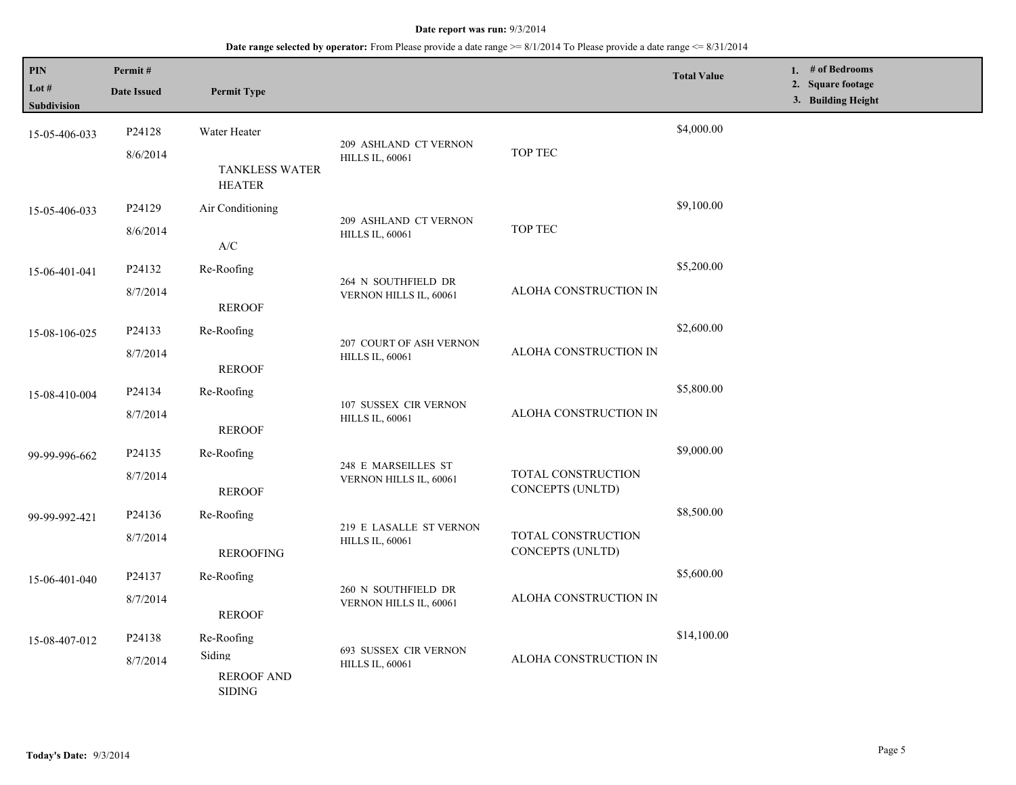### **Date range selected by operator:** From Please provide a date range >= 8/1/2014 To Please provide a date range <= 8/31/2014

| PIN<br>Lot #<br>Subdivision | Permit#<br><b>Date Issued</b> | <b>Permit Type</b>                                         |                                                   |                                        | <b>Total Value</b> | 1. # of Bedrooms<br>2. Square footage<br>3. Building Height |
|-----------------------------|-------------------------------|------------------------------------------------------------|---------------------------------------------------|----------------------------------------|--------------------|-------------------------------------------------------------|
| 15-05-406-033               | P24128<br>8/6/2014            | Water Heater<br><b>TANKLESS WATER</b><br><b>HEATER</b>     | 209 ASHLAND CT VERNON<br><b>HILLS IL, 60061</b>   | TOP TEC                                | \$4,000.00         |                                                             |
| 15-05-406-033               | P24129<br>8/6/2014            | Air Conditioning<br>A/C                                    | 209 ASHLAND CT VERNON<br><b>HILLS IL, 60061</b>   | TOP TEC                                | \$9,100.00         |                                                             |
| 15-06-401-041               | P24132<br>8/7/2014            | Re-Roofing<br><b>REROOF</b>                                | 264 N SOUTHFIELD DR<br>VERNON HILLS IL, 60061     | ALOHA CONSTRUCTION IN                  | \$5,200.00         |                                                             |
| 15-08-106-025               | P24133<br>8/7/2014            | Re-Roofing<br><b>REROOF</b>                                | 207 COURT OF ASH VERNON<br><b>HILLS IL, 60061</b> | ALOHA CONSTRUCTION IN                  | \$2,600.00         |                                                             |
| 15-08-410-004               | P24134<br>8/7/2014            | Re-Roofing<br><b>REROOF</b>                                | 107 SUSSEX CIR VERNON<br><b>HILLS IL, 60061</b>   | ALOHA CONSTRUCTION IN                  | \$5,800.00         |                                                             |
| 99-99-996-662               | P24135<br>8/7/2014            | Re-Roofing<br><b>REROOF</b>                                | 248 E MARSEILLES ST<br>VERNON HILLS IL, 60061     | TOTAL CONSTRUCTION<br>CONCEPTS (UNLTD) | \$9,000.00         |                                                             |
| 99-99-992-421               | P24136<br>8/7/2014            | Re-Roofing<br><b>REROOFING</b>                             | 219 E LASALLE ST VERNON<br><b>HILLS IL, 60061</b> | TOTAL CONSTRUCTION<br>CONCEPTS (UNLTD) | \$8,500.00         |                                                             |
| 15-06-401-040               | P24137<br>8/7/2014            | Re-Roofing<br><b>REROOF</b>                                | 260 N SOUTHFIELD DR<br>VERNON HILLS IL, 60061     | ALOHA CONSTRUCTION IN                  | \$5,600.00         |                                                             |
| 15-08-407-012               | P24138<br>8/7/2014            | Re-Roofing<br>Siding<br><b>REROOF AND</b><br><b>SIDING</b> | 693 SUSSEX CIR VERNON<br><b>HILLS IL, 60061</b>   | ALOHA CONSTRUCTION IN                  | \$14,100.00        |                                                             |

L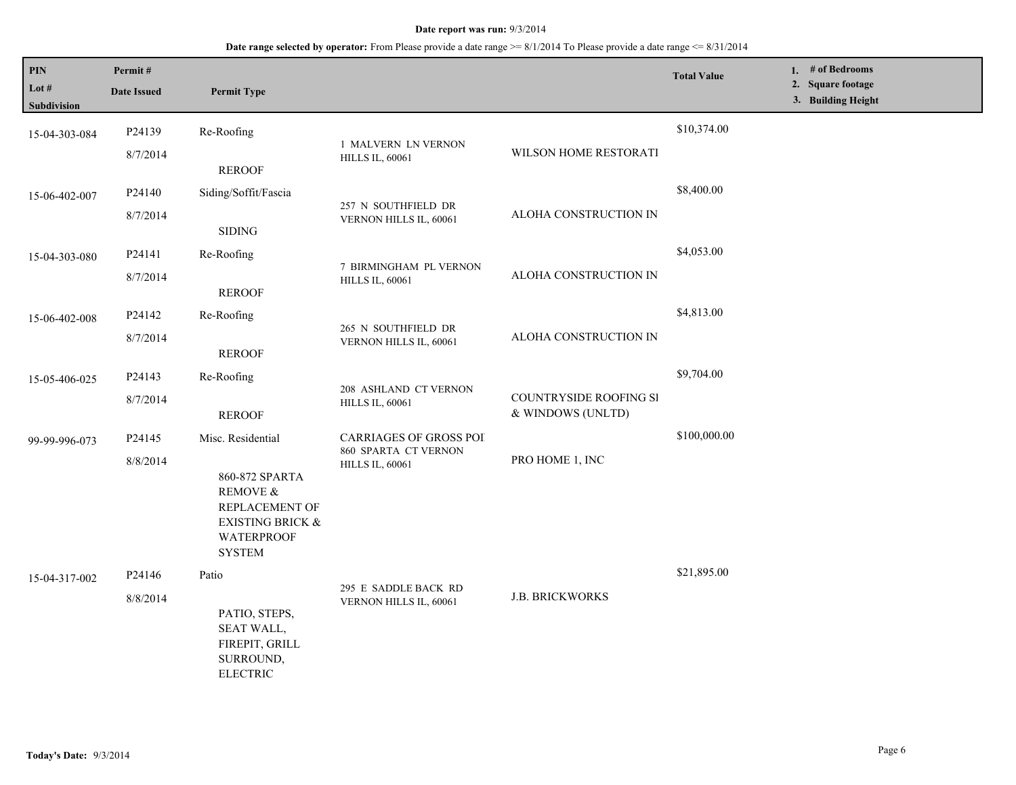| PIN<br>Lot #  | Permit#             |                                                                                                                   |                                                                   |                                             | <b>Total Value</b> | 1. $#$ of Bedrooms<br><b>Square footage</b><br>2. |
|---------------|---------------------|-------------------------------------------------------------------------------------------------------------------|-------------------------------------------------------------------|---------------------------------------------|--------------------|---------------------------------------------------|
| Subdivision   | <b>Date Issued</b>  | <b>Permit Type</b>                                                                                                |                                                                   |                                             |                    | 3. Building Height                                |
| 15-04-303-084 | P24139              | Re-Roofing                                                                                                        | 1 MALVERN LN VERNON                                               |                                             | \$10,374.00        |                                                   |
|               | 8/7/2014            | <b>REROOF</b>                                                                                                     | <b>HILLS IL, 60061</b>                                            | WILSON HOME RESTORATI                       |                    |                                                   |
| 15-06-402-007 | P24140              | Siding/Soffit/Fascia                                                                                              |                                                                   |                                             | \$8,400.00         |                                                   |
|               | 8/7/2014            | <b>SIDING</b>                                                                                                     | 257 N SOUTHFIELD DR<br>VERNON HILLS IL, 60061                     | ALOHA CONSTRUCTION IN                       |                    |                                                   |
| 15-04-303-080 | P24141              | Re-Roofing                                                                                                        | 7 BIRMINGHAM PL VERNON<br><b>HILLS IL, 60061</b>                  |                                             | \$4,053.00         |                                                   |
|               | 8/7/2014            | <b>REROOF</b>                                                                                                     |                                                                   | ALOHA CONSTRUCTION IN                       |                    |                                                   |
| 15-06-402-008 | P24142              | Re-Roofing                                                                                                        |                                                                   |                                             | \$4,813.00         |                                                   |
|               | 8/7/2014            | <b>REROOF</b>                                                                                                     | 265 N SOUTHFIELD DR<br>VERNON HILLS IL, 60061                     | ALOHA CONSTRUCTION IN                       |                    |                                                   |
| 15-05-406-025 | P24143              | Re-Roofing                                                                                                        |                                                                   |                                             | \$9,704.00         |                                                   |
|               | 8/7/2014            | <b>REROOF</b>                                                                                                     | 208 ASHLAND CT VERNON<br><b>HILLS IL, 60061</b>                   | COUNTRYSIDE ROOFING SI<br>& WINDOWS (UNLTD) |                    |                                                   |
| 99-99-996-073 | P <sub>24</sub> 145 | Misc. Residential                                                                                                 | <b>CARRIAGES OF GROSS POI</b>                                     |                                             | \$100,000.00       |                                                   |
|               | 8/8/2014            | 860-872 SPARTA<br>REMOVE &<br>REPLACEMENT OF<br><b>EXISTING BRICK &amp;</b><br><b>WATERPROOF</b><br><b>SYSTEM</b> | 860 SPARTA CT VERNON<br>PRO HOME 1, INC<br><b>HILLS IL, 60061</b> |                                             |                    |                                                   |
| 15-04-317-002 | P <sub>24146</sub>  | Patio                                                                                                             |                                                                   |                                             | \$21,895.00        |                                                   |
|               | 8/8/2014            | PATIO, STEPS,<br>SEAT WALL,<br>FIREPIT, GRILL<br>SURROUND,<br><b>ELECTRIC</b>                                     | 295 E SADDLE BACK RD<br>VERNON HILLS IL, 60061                    | <b>J.B. BRICKWORKS</b>                      |                    |                                                   |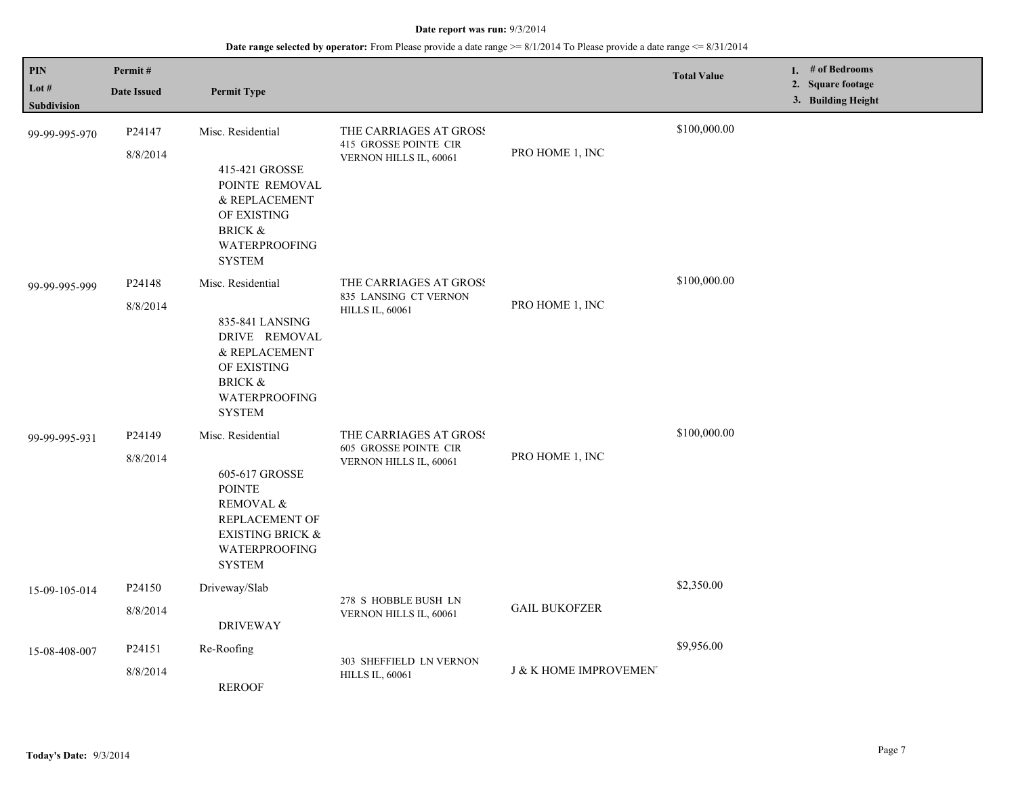| PIN<br>Lot #<br>Subdivision | Permit#<br><b>Date Issued</b> | <b>Permit Type</b>                                                                                                                                          |                                                                                  |                        | <b>Total Value</b> | 1. # of Bedrooms<br>2. Square footage<br>3. Building Height |
|-----------------------------|-------------------------------|-------------------------------------------------------------------------------------------------------------------------------------------------------------|----------------------------------------------------------------------------------|------------------------|--------------------|-------------------------------------------------------------|
| 99-99-995-970               | P24147<br>8/8/2014            | Misc. Residential<br>415-421 GROSSE<br>POINTE REMOVAL<br>& REPLACEMENT<br>OF EXISTING<br><b>BRICK &amp;</b><br>WATERPROOFING<br><b>SYSTEM</b>               | THE CARRIAGES AT GROSS<br>415 GROSSE POINTE CIR<br>VERNON HILLS IL, 60061        | PRO HOME 1, INC        | \$100,000.00       |                                                             |
| 99-99-995-999               | P24148<br>8/8/2014            | Misc. Residential<br>835-841 LANSING<br>DRIVE REMOVAL<br>& REPLACEMENT<br>OF EXISTING<br><b>BRICK &amp;</b><br>WATERPROOFING<br><b>SYSTEM</b>               | THE CARRIAGES AT GROSS<br>835 LANSING CT VERNON<br><b>HILLS IL, 60061</b>        | PRO HOME 1, INC        | \$100,000.00       |                                                             |
| 99-99-995-931               | P24149<br>8/8/2014            | Misc. Residential<br>605-617 GROSSE<br><b>POINTE</b><br>REMOVAL &<br>REPLACEMENT OF<br><b>EXISTING BRICK &amp;</b><br><b>WATERPROOFING</b><br><b>SYSTEM</b> | THE CARRIAGES AT GROSS<br><b>605 GROSSE POINTE CIR</b><br>VERNON HILLS IL, 60061 | PRO HOME 1, INC        | \$100,000.00       |                                                             |
| 15-09-105-014               | P24150<br>8/8/2014            | Driveway/Slab<br><b>DRIVEWAY</b>                                                                                                                            | 278 S HOBBLE BUSH LN<br>VERNON HILLS IL, 60061                                   | <b>GAIL BUKOFZER</b>   | \$2,350.00         |                                                             |
| 15-08-408-007               | P24151<br>8/8/2014            | Re-Roofing<br><b>REROOF</b>                                                                                                                                 | 303 SHEFFIELD LN VERNON<br><b>HILLS IL, 60061</b>                                | J & K HOME IMPROVEMEN. | \$9,956.00         |                                                             |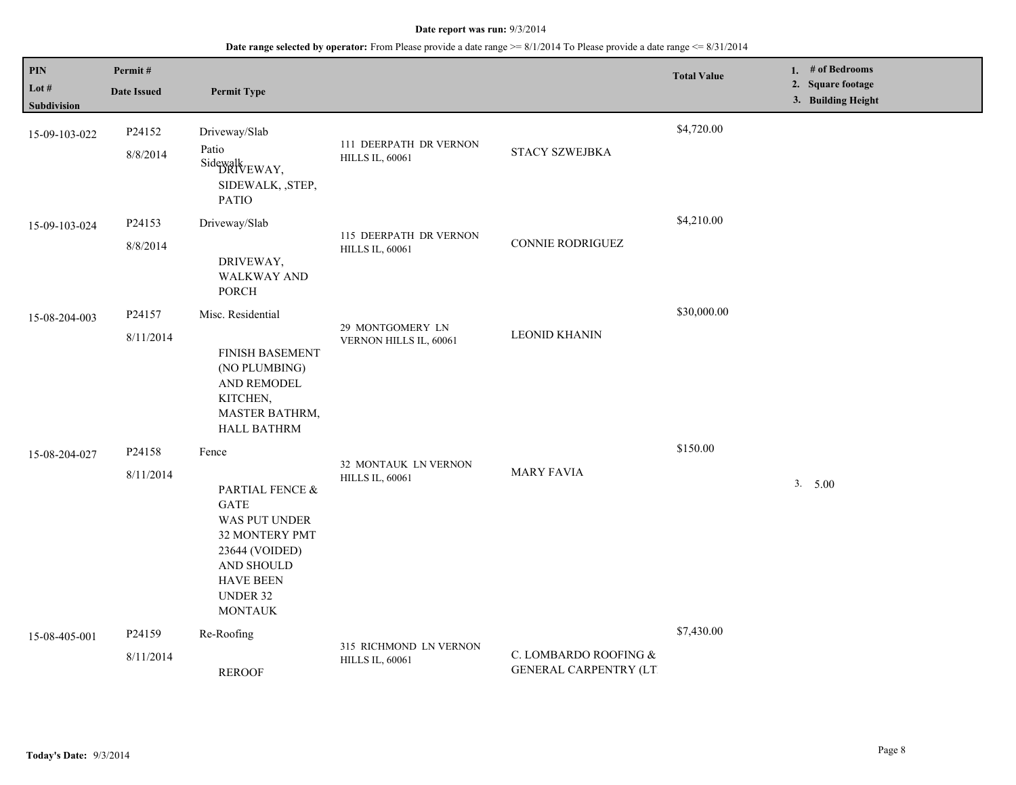| PIN<br>Lot $#$<br>Subdivision | Permit#<br><b>Date Issued</b> | <b>Permit Type</b>                                                                                                                                                  |                                                  |                                                           | <b>Total Value</b> | 1. # of Bedrooms<br>2. Square footage<br>3. Building Height |
|-------------------------------|-------------------------------|---------------------------------------------------------------------------------------------------------------------------------------------------------------------|--------------------------------------------------|-----------------------------------------------------------|--------------------|-------------------------------------------------------------|
| 15-09-103-022                 | P24152<br>8/8/2014            | Driveway/Slab<br>Patio<br>Sidewalk EWAY,<br>SIDEWALK, , STEP,<br><b>PATIO</b>                                                                                       | 111 DEERPATH DR VERNON<br><b>HILLS IL, 60061</b> | STACY SZWEJBKA                                            | \$4,720.00         |                                                             |
| 15-09-103-024                 | P24153<br>8/8/2014            | Driveway/Slab<br>DRIVEWAY,<br><b>WALKWAY AND</b><br>PORCH                                                                                                           | 115 DEERPATH DR VERNON<br><b>HILLS IL, 60061</b> | CONNIE RODRIGUEZ                                          | \$4,210.00         |                                                             |
| 15-08-204-003                 | P24157<br>8/11/2014           | Misc. Residential<br><b>FINISH BASEMENT</b><br>(NO PLUMBING)<br>AND REMODEL<br>KITCHEN,<br>MASTER BATHRM,<br><b>HALL BATHRM</b>                                     | 29 MONTGOMERY LN<br>VERNON HILLS IL, 60061       | <b>LEONID KHANIN</b>                                      | \$30,000.00        |                                                             |
| 15-08-204-027                 | P24158<br>8/11/2014           | Fence<br>PARTIAL FENCE &<br><b>GATE</b><br>WAS PUT UNDER<br>32 MONTERY PMT<br>23644 (VOIDED)<br>AND SHOULD<br><b>HAVE BEEN</b><br><b>UNDER 32</b><br><b>MONTAUK</b> | 32 MONTAUK LN VERNON<br><b>HILLS IL, 60061</b>   | <b>MARY FAVIA</b>                                         | \$150.00           | 3. 5.00                                                     |
| 15-08-405-001                 | P24159<br>8/11/2014           | Re-Roofing<br><b>REROOF</b>                                                                                                                                         | 315 RICHMOND LN VERNON<br><b>HILLS IL, 60061</b> | C. LOMBARDO ROOFING $\&$<br><b>GENERAL CARPENTRY (LT)</b> | \$7,430.00         |                                                             |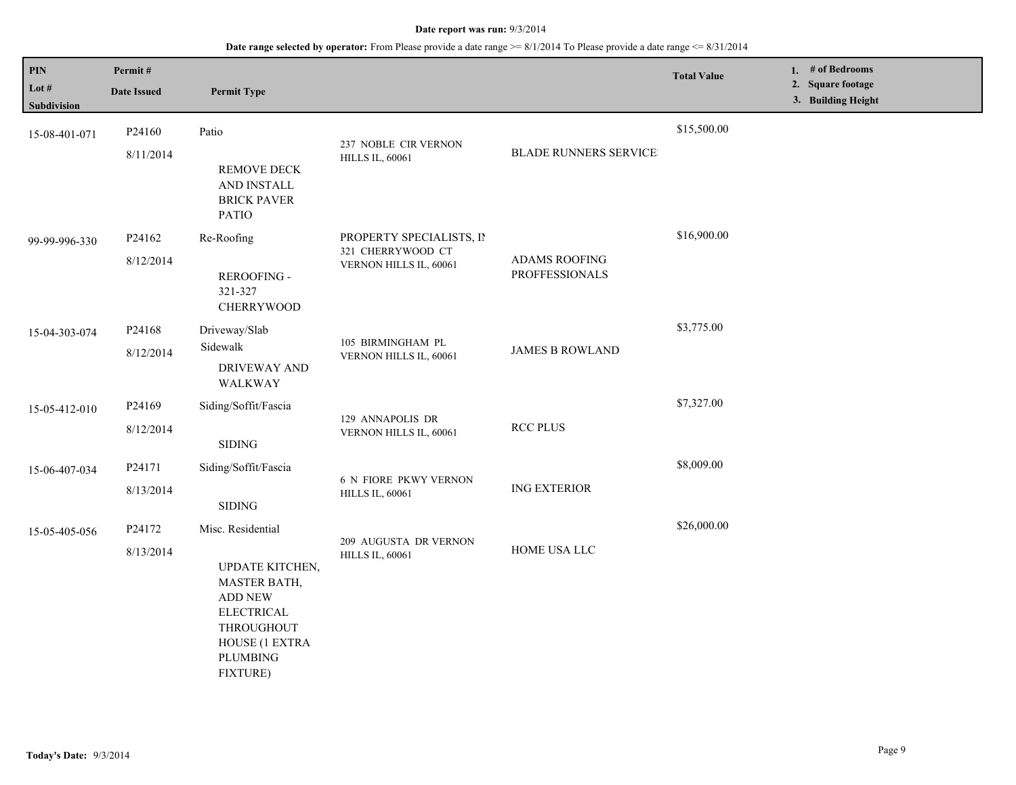| PIN<br>Lot $#$<br>Subdivision | Permit#<br><b>Date Issued</b>   | <b>Permit Type</b>                                                                                                                                         |                                                                         |                                               | <b>Total Value</b> | 1. # of Bedrooms<br>2. Square footage<br>3. Building Height |
|-------------------------------|---------------------------------|------------------------------------------------------------------------------------------------------------------------------------------------------------|-------------------------------------------------------------------------|-----------------------------------------------|--------------------|-------------------------------------------------------------|
| 15-08-401-071                 | P24160<br>8/11/2014             | Patio<br>REMOVE DECK<br>AND INSTALL<br><b>BRICK PAVER</b><br><b>PATIO</b>                                                                                  | 237 NOBLE CIR VERNON<br><b>HILLS IL, 60061</b>                          | <b>BLADE RUNNERS SERVICE</b>                  | \$15,500.00        |                                                             |
| 99-99-996-330                 | P <sub>24162</sub><br>8/12/2014 | Re-Roofing<br><b>REROOFING -</b><br>321-327<br><b>CHERRYWOOD</b>                                                                                           | PROPERTY SPECIALISTS, II<br>321 CHERRYWOOD CT<br>VERNON HILLS IL, 60061 | <b>ADAMS ROOFING</b><br><b>PROFFESSIONALS</b> | \$16,900.00        |                                                             |
| 15-04-303-074                 | P24168<br>8/12/2014             | Driveway/Slab<br>Sidewalk<br><b>DRIVEWAY AND</b><br>WALKWAY                                                                                                | 105 BIRMINGHAM PL<br>VERNON HILLS IL, 60061                             | <b>JAMES B ROWLAND</b>                        | \$3,775.00         |                                                             |
| 15-05-412-010                 | P24169<br>8/12/2014             | Siding/Soffit/Fascia<br>$\operatorname{SIDING}$                                                                                                            | 129 ANNAPOLIS DR<br>VERNON HILLS IL, 60061                              | <b>RCC PLUS</b>                               | \$7,327.00         |                                                             |
| 15-06-407-034                 | P24171<br>8/13/2014             | Siding/Soffit/Fascia<br>$\operatorname{SIDING}$                                                                                                            | 6 N FIORE PKWY VERNON<br><b>HILLS IL, 60061</b>                         | <b>ING EXTERIOR</b>                           | \$8,009.00         |                                                             |
| 15-05-405-056                 | P24172<br>8/13/2014             | Misc. Residential<br>UPDATE KITCHEN,<br>MASTER BATH,<br><b>ADD NEW</b><br><b>ELECTRICAL</b><br>THROUGHOUT<br>HOUSE (1 EXTRA<br>PLUMBING<br><b>FIXTURE)</b> | 209 AUGUSTA DR VERNON<br><b>HILLS IL, 60061</b>                         | HOME USA LLC                                  | \$26,000.00        |                                                             |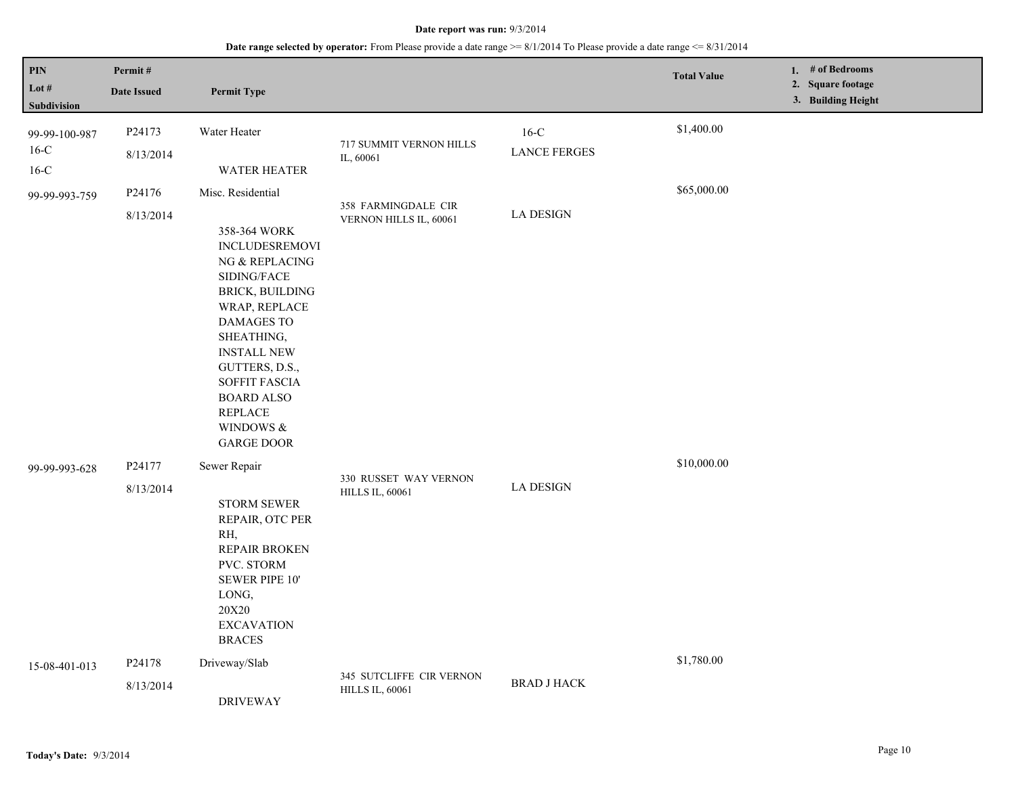| $\mathbf{PIN}$<br>Lot $#$<br>Subdivision | Permit#<br><b>Date Issued</b> | <b>Permit Type</b>                                                                                                                                                                                                                                                                                      |                                                    |                               | <b>Total Value</b> | 1. $#$ of Bedrooms<br>2. Square footage<br>3. Building Height |
|------------------------------------------|-------------------------------|---------------------------------------------------------------------------------------------------------------------------------------------------------------------------------------------------------------------------------------------------------------------------------------------------------|----------------------------------------------------|-------------------------------|--------------------|---------------------------------------------------------------|
| 99-99-100-987<br>$16-C$<br>$16-C$        | P24173<br>8/13/2014           | Water Heater<br>WATER HEATER                                                                                                                                                                                                                                                                            | 717 SUMMIT VERNON HILLS<br>IL, 60061               | $16-C$<br><b>LANCE FERGES</b> | \$1,400.00         |                                                               |
| 99-99-993-759                            | P24176<br>8/13/2014           | Misc. Residential<br>358-364 WORK<br><b>INCLUDESREMOVI</b><br>NG & REPLACING<br>SIDING/FACE<br>BRICK, BUILDING<br>WRAP, REPLACE<br><b>DAMAGES TO</b><br>SHEATHING,<br><b>INSTALL NEW</b><br>GUTTERS, D.S.,<br>SOFFIT FASCIA<br><b>BOARD ALSO</b><br><b>REPLACE</b><br>WINDOWS $\&$<br><b>GARGE DOOR</b> | 358 FARMINGDALE CIR<br>VERNON HILLS IL, 60061      | <b>LA DESIGN</b>              | \$65,000.00        |                                                               |
| 99-99-993-628                            | P24177<br>8/13/2014           | Sewer Repair<br><b>STORM SEWER</b><br>REPAIR, OTC PER<br>RH,<br>REPAIR BROKEN<br>PVC. STORM<br>SEWER PIPE 10'<br>LONG,<br><b>20X20</b><br><b>EXCAVATION</b><br><b>BRACES</b>                                                                                                                            | 330 RUSSET WAY VERNON<br><b>HILLS IL, 60061</b>    | <b>LA DESIGN</b>              | \$10,000.00        |                                                               |
| 15-08-401-013                            | P24178<br>8/13/2014           | Driveway/Slab<br><b>DRIVEWAY</b>                                                                                                                                                                                                                                                                        | 345 SUTCLIFFE CIR VERNON<br><b>HILLS IL, 60061</b> | <b>BRAD J HACK</b>            | \$1,780.00         |                                                               |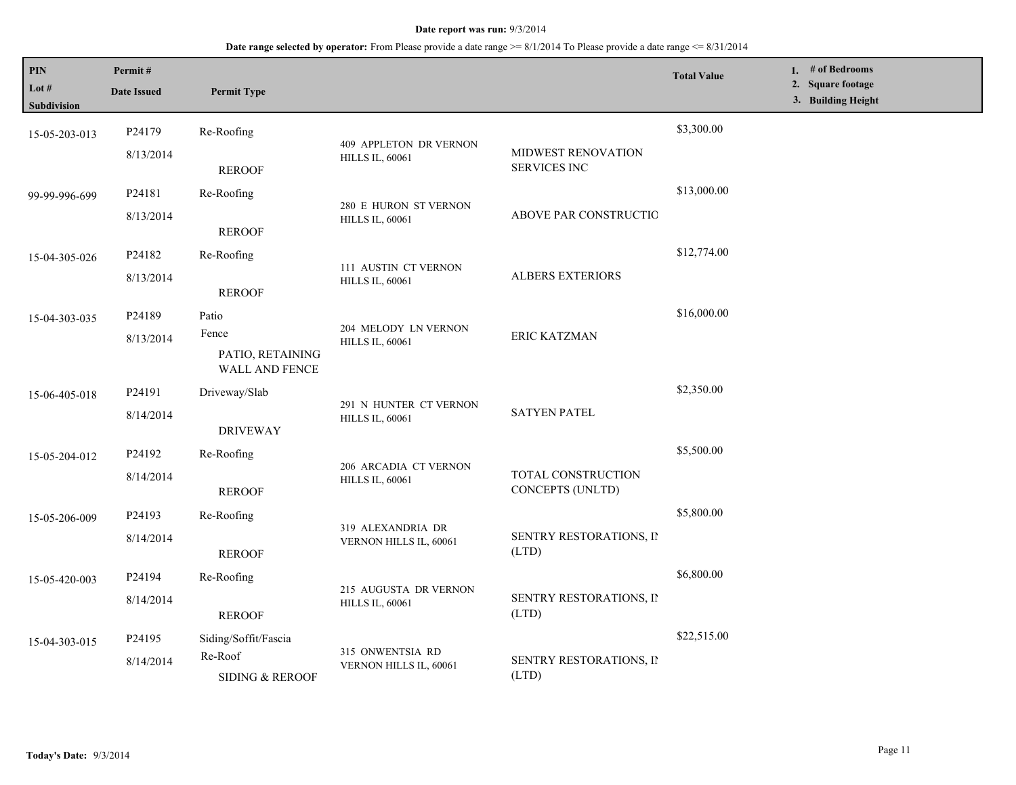| PIN<br>Lot #<br>Subdivision | Permit#<br><b>Date Issued</b> | <b>Permit Type</b>                          |                                                  |                                           | <b>Total Value</b> | 1. # of Bedrooms<br>2. Square footage<br>3. Building Height |
|-----------------------------|-------------------------------|---------------------------------------------|--------------------------------------------------|-------------------------------------------|--------------------|-------------------------------------------------------------|
| 15-05-203-013               | P24179                        | Re-Roofing                                  |                                                  |                                           | \$3,300.00         |                                                             |
|                             | 8/13/2014                     | <b>REROOF</b>                               | 409 APPLETON DR VERNON<br><b>HILLS IL, 60061</b> | MIDWEST RENOVATION<br><b>SERVICES INC</b> |                    |                                                             |
| 99-99-996-699               | P24181                        | Re-Roofing                                  | 280 E HURON ST VERNON                            | ABOVE PAR CONSTRUCTIO                     | \$13,000.00        |                                                             |
|                             | 8/13/2014                     | <b>REROOF</b>                               | <b>HILLS IL, 60061</b>                           |                                           |                    |                                                             |
| 15-04-305-026               | P24182                        | Re-Roofing                                  |                                                  | <b>ALBERS EXTERIORS</b>                   | \$12,774.00        |                                                             |
|                             | 8/13/2014                     | <b>REROOF</b>                               | 111 AUSTIN CT VERNON<br><b>HILLS IL, 60061</b>   |                                           |                    |                                                             |
| 15-04-303-035               | P24189                        | Patio                                       | 204 MELODY LN VERNON                             |                                           | \$16,000.00        |                                                             |
|                             | 8/13/2014                     | Fence<br>PATIO, RETAINING<br>WALL AND FENCE | <b>HILLS IL, 60061</b>                           | ERIC KATZMAN                              |                    |                                                             |
| 15-06-405-018               | P24191                        | Driveway/Slab                               |                                                  |                                           | \$2,350.00         |                                                             |
|                             | 8/14/2014                     | <b>DRIVEWAY</b>                             | 291 N HUNTER CT VERNON<br><b>HILLS IL, 60061</b> | <b>SATYEN PATEL</b>                       |                    |                                                             |
| 15-05-204-012               | P24192                        | Re-Roofing                                  | 206 ARCADIA CT VERNON                            |                                           | \$5,500.00         |                                                             |
|                             | 8/14/2014                     | <b>REROOF</b>                               | <b>HILLS IL, 60061</b>                           | TOTAL CONSTRUCTION<br>CONCEPTS (UNLTD)    |                    |                                                             |
| 15-05-206-009               | P24193                        | Re-Roofing                                  | 319 ALEXANDRIA DR                                |                                           | \$5,800.00         |                                                             |
|                             | 8/14/2014                     | <b>REROOF</b>                               | VERNON HILLS IL, 60061                           | SENTRY RESTORATIONS, II<br>(LTD)          |                    |                                                             |
| 15-05-420-003               | P24194                        | Re-Roofing                                  |                                                  |                                           | \$6,800.00         |                                                             |
|                             | 8/14/2014                     | <b>REROOF</b>                               | 215 AUGUSTA DR VERNON<br><b>HILLS IL, 60061</b>  | SENTRY RESTORATIONS, II<br>(LTD)          |                    |                                                             |
| 15-04-303-015               | P24195                        | Siding/Soffit/Fascia                        |                                                  |                                           | \$22,515.00        |                                                             |
|                             | 8/14/2014                     | Re-Roof<br><b>SIDING &amp; REROOF</b>       | 315 ONWENTSIA RD<br>VERNON HILLS IL, 60061       | SENTRY RESTORATIONS, II<br>(LTD)          |                    |                                                             |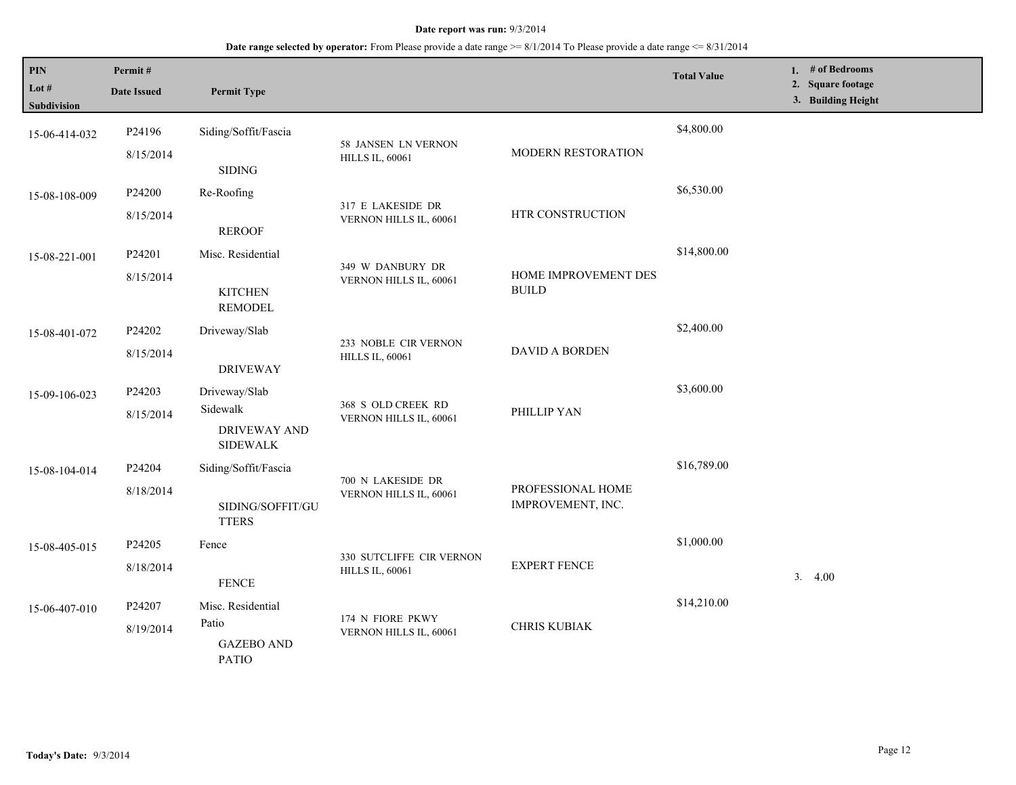| PIN<br>Lot #<br>Subdivision | Permit#<br><b>Date Issued</b> | <b>Permit Type</b>                                                  |                                                    |                                        | <b>Total Value</b> | 1. # of Bedrooms<br>2. Square footage<br>3. Building Height |
|-----------------------------|-------------------------------|---------------------------------------------------------------------|----------------------------------------------------|----------------------------------------|--------------------|-------------------------------------------------------------|
| 15-06-414-032               | P24196<br>8/15/2014           | Siding/Soffit/Fascia<br><b>SIDING</b>                               | 58 JANSEN LN VERNON<br><b>HILLS IL, 60061</b>      | MODERN RESTORATION                     | \$4,800.00         |                                                             |
| 15-08-108-009               | P24200<br>8/15/2014           | Re-Roofing<br><b>REROOF</b>                                         | 317 E LAKESIDE DR<br>VERNON HILLS IL, 60061        | HTR CONSTRUCTION                       | \$6,530.00         |                                                             |
| 15-08-221-001               | P24201<br>8/15/2014           | Misc. Residential<br><b>KITCHEN</b><br><b>REMODEL</b>               | 349 W DANBURY DR<br>VERNON HILLS IL, 60061         | HOME IMPROVEMENT DES<br><b>BUILD</b>   | \$14,800.00        |                                                             |
| 15-08-401-072               | P24202<br>8/15/2014           | Driveway/Slab<br><b>DRIVEWAY</b>                                    | 233 NOBLE CIR VERNON<br><b>HILLS IL, 60061</b>     | <b>DAVID A BORDEN</b>                  | \$2,400.00         |                                                             |
| 15-09-106-023               | P24203<br>8/15/2014           | Driveway/Slab<br>Sidewalk<br><b>DRIVEWAY AND</b><br><b>SIDEWALK</b> | 368 S OLD CREEK RD<br>VERNON HILLS IL, 60061       | PHILLIP YAN                            | \$3,600.00         |                                                             |
| 15-08-104-014               | P24204<br>8/18/2014           | Siding/Soffit/Fascia<br>SIDING/SOFFIT/GU<br><b>TTERS</b>            | 700 N LAKESIDE DR<br>VERNON HILLS IL, 60061        | PROFESSIONAL HOME<br>IMPROVEMENT, INC. | \$16,789.00        |                                                             |
| 15-08-405-015               | P24205<br>8/18/2014           | Fence<br><b>FENCE</b>                                               | 330 SUTCLIFFE CIR VERNON<br><b>HILLS IL, 60061</b> | <b>EXPERT FENCE</b>                    | \$1,000.00         | 3.4.00                                                      |
| 15-06-407-010               | P24207<br>8/19/2014           | Misc. Residential<br>Patio<br><b>GAZEBO AND</b><br><b>PATIO</b>     | 174 N FIORE PKWY<br>VERNON HILLS IL, 60061         | <b>CHRIS KUBIAK</b>                    | \$14,210.00        |                                                             |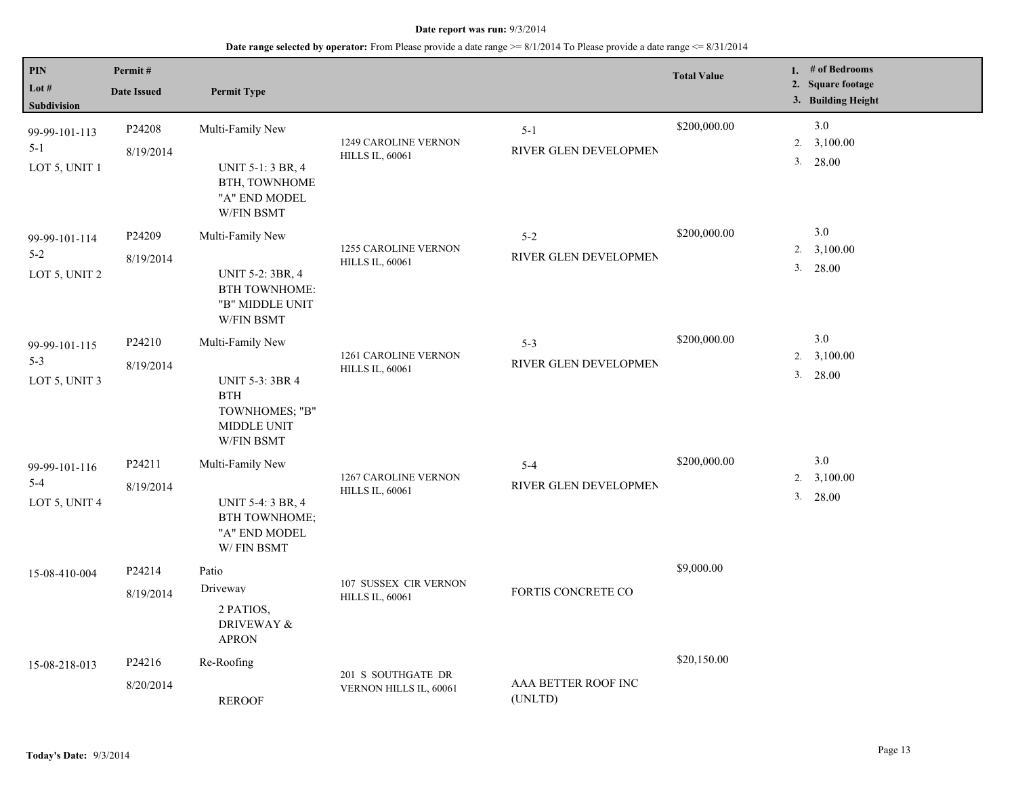| PIN<br>Lot $#$<br>Subdivision             | Permit#<br><b>Date Issued</b>   | <b>Permit Type</b>                                                                                             |                                                       |                                  | <b>Total Value</b> |          | 1. # of Bedrooms<br>2. Square footage<br>3. Building Height |
|-------------------------------------------|---------------------------------|----------------------------------------------------------------------------------------------------------------|-------------------------------------------------------|----------------------------------|--------------------|----------|-------------------------------------------------------------|
| 99-99-101-113<br>$5 - 1$<br>LOT 5, UNIT 1 | P24208<br>8/19/2014             | Multi-Family New<br><b>UNIT 5-1: 3 BR, 4</b><br>BTH, TOWNHOME<br>"A" END MODEL<br>W/FIN BSMT                   | 1249 CAROLINE VERNON<br><b>HILLS IL, 60061</b>        | $5 - 1$<br>RIVER GLEN DEVELOPMEN | \$200,000.00       | 2.<br>3. | 3.0<br>3,100.00<br>28.00                                    |
| 99-99-101-114<br>$5 - 2$<br>LOT 5, UNIT 2 | P <sub>24209</sub><br>8/19/2014 | Multi-Family New<br><b>UNIT 5-2: 3BR, 4</b><br><b>BTH TOWNHOME:</b><br>"B" MIDDLE UNIT<br>W/FIN BSMT           | <b>1255 CAROLINE VERNON</b><br><b>HILLS IL, 60061</b> | $5 - 2$<br>RIVER GLEN DEVELOPMEN | \$200,000.00       | 2.<br>3. | 3.0<br>3,100.00<br>28.00                                    |
| 99-99-101-115<br>$5 - 3$<br>LOT 5, UNIT 3 | P24210<br>8/19/2014             | Multi-Family New<br><b>UNIT 5-3: 3BR 4</b><br><b>BTH</b><br>TOWNHOMES; "B"<br>MIDDLE UNIT<br><b>W/FIN BSMT</b> | 1261 CAROLINE VERNON<br><b>HILLS IL, 60061</b>        | $5 - 3$<br>RIVER GLEN DEVELOPMEN | \$200,000.00       | 2.<br>3. | 3.0<br>3,100.00<br>28.00                                    |
| 99-99-101-116<br>$5 - 4$<br>LOT 5, UNIT 4 | P24211<br>8/19/2014             | Multi-Family New<br><b>UNIT 5-4: 3 BR, 4</b><br><b>BTH TOWNHOME:</b><br>"A" END MODEL<br>W/FIN BSMT            | <b>1267 CAROLINE VERNON</b><br><b>HILLS IL, 60061</b> | $5 - 4$<br>RIVER GLEN DEVELOPMEN | \$200,000.00       | 2.<br>3. | 3.0<br>3,100.00<br>28.00                                    |
| 15-08-410-004                             | P24214<br>8/19/2014             | Patio<br>Driveway<br>2 PATIOS,<br>DRIVEWAY &<br><b>APRON</b>                                                   | 107 SUSSEX CIR VERNON<br><b>HILLS IL, 60061</b>       | FORTIS CONCRETE CO               | \$9,000.00         |          |                                                             |
| 15-08-218-013                             | P24216<br>8/20/2014             | Re-Roofing<br><b>REROOF</b>                                                                                    | 201 S SOUTHGATE DR<br>VERNON HILLS IL, 60061          | AAA BETTER ROOF INC<br>(UNLTD)   | \$20,150.00        |          |                                                             |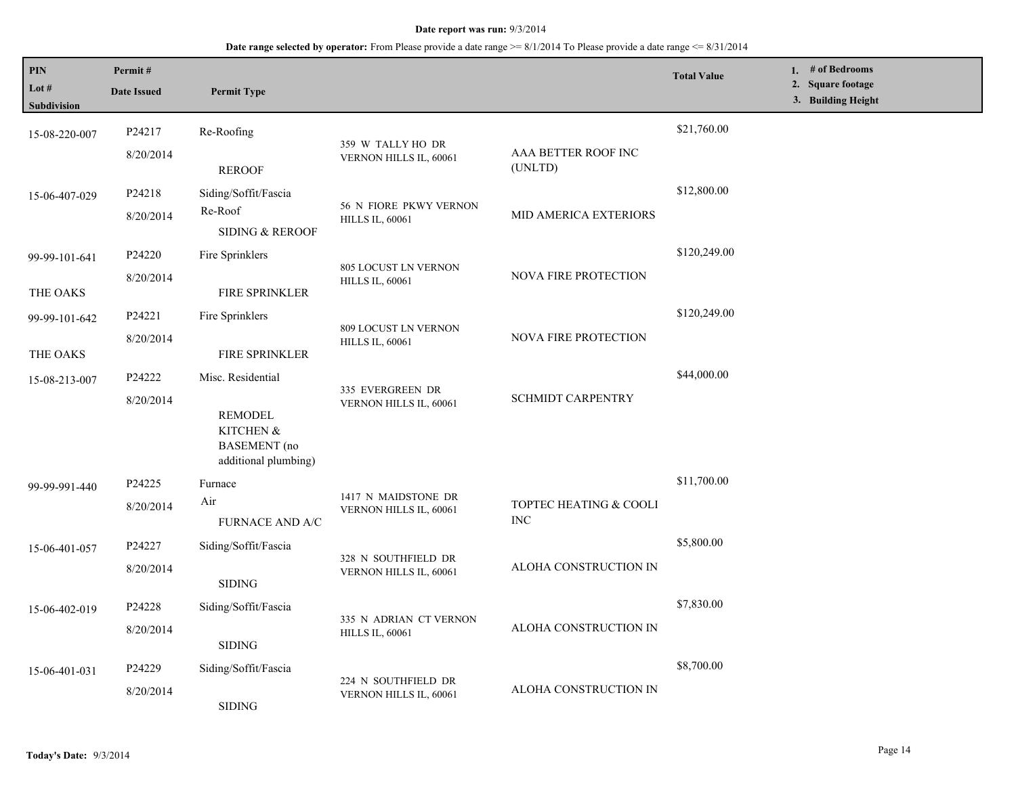| PIN<br>Lot #<br><b>Subdivision</b> | Permit#<br><b>Date Issued</b> | <b>Permit Type</b>                                                                |                                                       |                                      | <b>Total Value</b> | 1. # of Bedrooms<br>2. Square footage<br>3. Building Height |
|------------------------------------|-------------------------------|-----------------------------------------------------------------------------------|-------------------------------------------------------|--------------------------------------|--------------------|-------------------------------------------------------------|
| 15-08-220-007                      | P24217<br>8/20/2014           | Re-Roofing                                                                        | 359 W TALLY HO DR<br>VERNON HILLS IL, 60061           | AAA BETTER ROOF INC                  | \$21,760.00        |                                                             |
| 15-06-407-029                      | P24218<br>8/20/2014           | <b>REROOF</b><br>Siding/Soffit/Fascia<br>Re-Roof                                  | 56 N FIORE PKWY VERNON<br><b>HILLS IL, 60061</b>      | (UNLTD)<br>MID AMERICA EXTERIORS     | \$12,800.00        |                                                             |
| 99-99-101-641<br>THE OAKS          | P24220<br>8/20/2014           | <b>SIDING &amp; REROOF</b><br>Fire Sprinklers<br><b>FIRE SPRINKLER</b>            | <b>805 LOCUST LN VERNON</b><br><b>HILLS IL, 60061</b> | NOVA FIRE PROTECTION                 | \$120,249.00       |                                                             |
| 99-99-101-642<br>THE OAKS          | P24221<br>8/20/2014           | Fire Sprinklers<br>FIRE SPRINKLER                                                 | 809 LOCUST LN VERNON<br><b>HILLS IL, 60061</b>        | <b>NOVA FIRE PROTECTION</b>          | \$120,249.00       |                                                             |
| 15-08-213-007                      | P24222<br>8/20/2014           | Misc. Residential<br>REMODEL<br>KITCHEN &<br>BASEMENT (no<br>additional plumbing) | 335 EVERGREEN DR<br>VERNON HILLS IL, 60061            | <b>SCHMIDT CARPENTRY</b>             | \$44,000.00        |                                                             |
| 99-99-991-440                      | P24225<br>8/20/2014           | Furnace<br>Air<br><b>FURNACE AND A/C</b>                                          | 1417 N MAIDSTONE DR<br>VERNON HILLS IL, 60061         | TOPTEC HEATING & COOLI<br><b>INC</b> | \$11,700.00        |                                                             |
| 15-06-401-057                      | P24227<br>8/20/2014           | Siding/Soffit/Fascia<br><b>SIDING</b>                                             | 328 N SOUTHFIELD DR<br>VERNON HILLS IL, 60061         | ALOHA CONSTRUCTION IN                | \$5,800.00         |                                                             |
| 15-06-402-019                      | P24228<br>8/20/2014           | Siding/Soffit/Fascia<br><b>SIDING</b>                                             | 335 N ADRIAN CT VERNON<br><b>HILLS IL, 60061</b>      | ALOHA CONSTRUCTION IN                | \$7,830.00         |                                                             |
| 15-06-401-031                      | P24229<br>8/20/2014           | Siding/Soffit/Fascia<br><b>SIDING</b>                                             | 224 N SOUTHFIELD DR<br>VERNON HILLS IL, 60061         | ALOHA CONSTRUCTION IN                | \$8,700.00         |                                                             |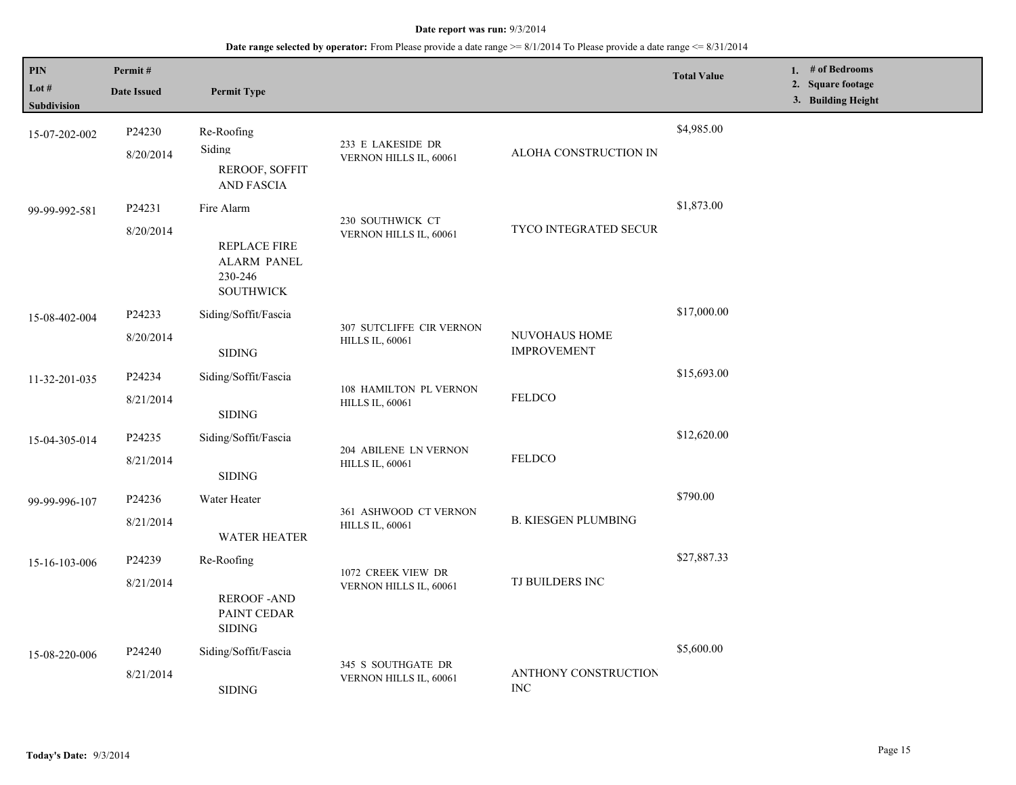| PIN<br>Lot $#$<br><b>Subdivision</b> | Permit#<br><b>Date Issued</b> | <b>Permit Type</b>                                                              |                                                    |                                     | <b>Total Value</b> | 1. # of Bedrooms<br>2. Square footage<br>3. Building Height |
|--------------------------------------|-------------------------------|---------------------------------------------------------------------------------|----------------------------------------------------|-------------------------------------|--------------------|-------------------------------------------------------------|
| 15-07-202-002                        | P24230<br>8/20/2014           | Re-Roofing<br>Siding<br>REROOF, SOFFIT<br><b>AND FASCIA</b>                     | 233 E LAKESIDE DR<br>VERNON HILLS IL, 60061        | ALOHA CONSTRUCTION IN               | \$4,985.00         |                                                             |
| 99-99-992-581                        | P24231<br>8/20/2014           | Fire Alarm<br>REPLACE FIRE<br><b>ALARM PANEL</b><br>230-246<br><b>SOUTHWICK</b> | 230 SOUTHWICK CT<br>VERNON HILLS IL, 60061         | TYCO INTEGRATED SECUR               | \$1,873.00         |                                                             |
| 15-08-402-004                        | P24233<br>8/20/2014           | Siding/Soffit/Fascia<br><b>SIDING</b>                                           | 307 SUTCLIFFE CIR VERNON<br><b>HILLS IL, 60061</b> | NUVOHAUS HOME<br><b>IMPROVEMENT</b> | \$17,000.00        |                                                             |
| 11-32-201-035                        | P24234<br>8/21/2014           | Siding/Soffit/Fascia<br>$\operatorname{SIDING}$                                 | 108 HAMILTON PL VERNON<br><b>HILLS IL, 60061</b>   | <b>FELDCO</b>                       | \$15,693.00        |                                                             |
| 15-04-305-014                        | P24235<br>8/21/2014           | Siding/Soffit/Fascia<br><b>SIDING</b>                                           | 204 ABILENE LN VERNON<br><b>HILLS IL, 60061</b>    | FELDCO                              | \$12,620.00        |                                                             |
| 99-99-996-107                        | P24236<br>8/21/2014           | Water Heater<br><b>WATER HEATER</b>                                             | 361 ASHWOOD CT VERNON<br><b>HILLS IL, 60061</b>    | <b>B. KIESGEN PLUMBING</b>          | \$790.00           |                                                             |
| 15-16-103-006                        | P24239<br>8/21/2014           | Re-Roofing<br><b>REROOF-AND</b><br>PAINT CEDAR<br><b>SIDING</b>                 | 1072 CREEK VIEW DR<br>VERNON HILLS IL, 60061       | TJ BUILDERS INC                     | \$27,887.33        |                                                             |
| 15-08-220-006                        | P24240<br>8/21/2014           | Siding/Soffit/Fascia<br><b>SIDING</b>                                           | 345 S SOUTHGATE DR<br>VERNON HILLS IL, 60061       | ANTHONY CONSTRUCTION<br><b>INC</b>  | \$5,600.00         |                                                             |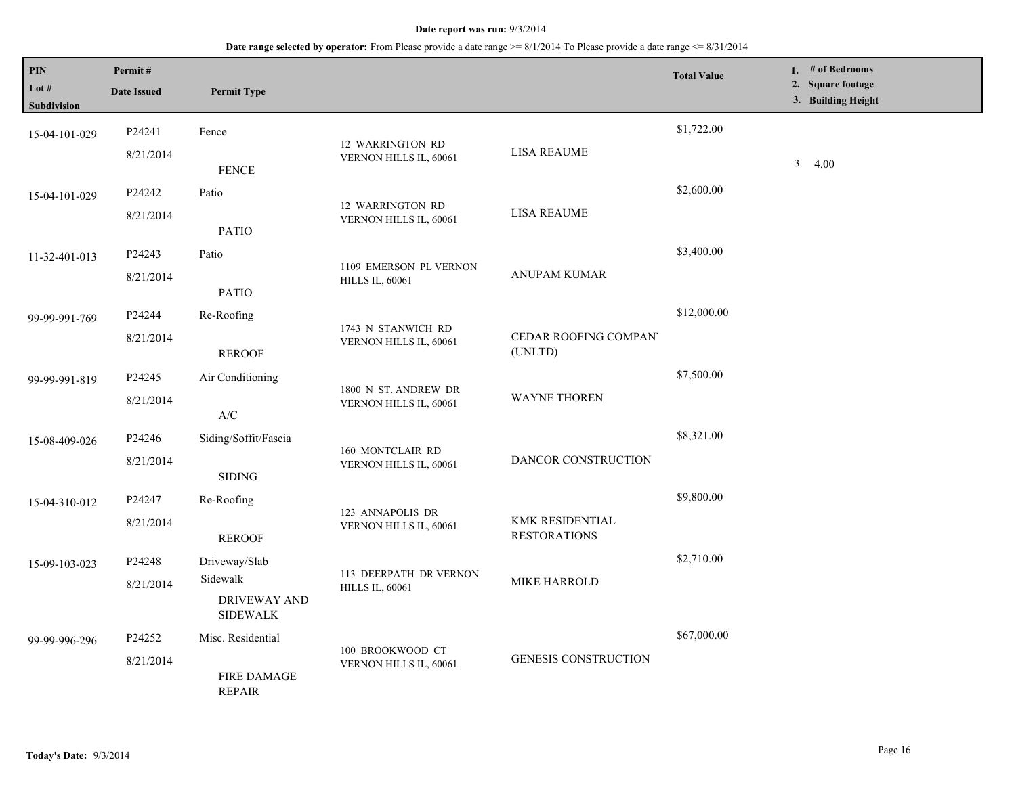| PIN<br>Lot $#$<br>Subdivision | Permit#<br><b>Date Issued</b> | <b>Permit Type</b>                                                                      |                                                  |                                        | <b>Total Value</b> | 1. # of Bedrooms<br>2. Square footage<br>3. Building Height |
|-------------------------------|-------------------------------|-----------------------------------------------------------------------------------------|--------------------------------------------------|----------------------------------------|--------------------|-------------------------------------------------------------|
| 15-04-101-029                 | P24241<br>8/21/2014           | Fence                                                                                   | 12 WARRINGTON RD<br>VERNON HILLS IL, 60061       | <b>LISA REAUME</b>                     | \$1,722.00         | 3.4.00                                                      |
| 15-04-101-029                 | P24242<br>8/21/2014           | <b>FENCE</b><br>Patio                                                                   | 12 WARRINGTON RD                                 | <b>LISA REAUME</b>                     | \$2,600.00         |                                                             |
| 11-32-401-013                 | P24243                        | <b>PATIO</b><br>Patio                                                                   | VERNON HILLS IL, 60061                           |                                        | \$3,400.00         |                                                             |
|                               | 8/21/2014                     | <b>PATIO</b>                                                                            | 1109 EMERSON PL VERNON<br><b>HILLS IL, 60061</b> | <b>ANUPAM KUMAR</b>                    |                    |                                                             |
| 99-99-991-769                 | P24244<br>8/21/2014           | Re-Roofing<br><b>REROOF</b>                                                             | 1743 N STANWICH RD<br>VERNON HILLS IL, 60061     | CEDAR ROOFING COMPAN<br>(UNLTD)        | \$12,000.00        |                                                             |
| 99-99-991-819                 | P24245<br>8/21/2014           | Air Conditioning                                                                        | 1800 N ST. ANDREW DR<br>VERNON HILLS IL, 60061   | WAYNE THOREN                           | \$7,500.00         |                                                             |
| 15-08-409-026                 | P24246<br>8/21/2014           | $\ensuremath{\mathsf{A}}\xspace/\ensuremath{\mathsf{C}}\xspace$<br>Siding/Soffit/Fascia | 160 MONTCLAIR RD<br>VERNON HILLS IL, 60061       | DANCOR CONSTRUCTION                    | \$8,321.00         |                                                             |
| 15-04-310-012                 | P24247                        | <b>SIDING</b><br>Re-Roofing                                                             |                                                  |                                        | \$9,800.00         |                                                             |
|                               | 8/21/2014                     | <b>REROOF</b>                                                                           | 123 ANNAPOLIS DR<br>VERNON HILLS IL, 60061       | KMK RESIDENTIAL<br><b>RESTORATIONS</b> | \$2,710.00         |                                                             |
| 15-09-103-023                 | P24248<br>8/21/2014           | Driveway/Slab<br>Sidewalk<br>DRIVEWAY AND<br><b>SIDEWALK</b>                            | 113 DEERPATH DR VERNON<br><b>HILLS IL, 60061</b> | <b>MIKE HARROLD</b>                    |                    |                                                             |
| 99-99-996-296                 | P24252<br>8/21/2014           | Misc. Residential<br><b>FIRE DAMAGE</b><br><b>REPAIR</b>                                | 100 BROOKWOOD CT<br>VERNON HILLS IL, 60061       | <b>GENESIS CONSTRUCTION</b>            | \$67,000.00        |                                                             |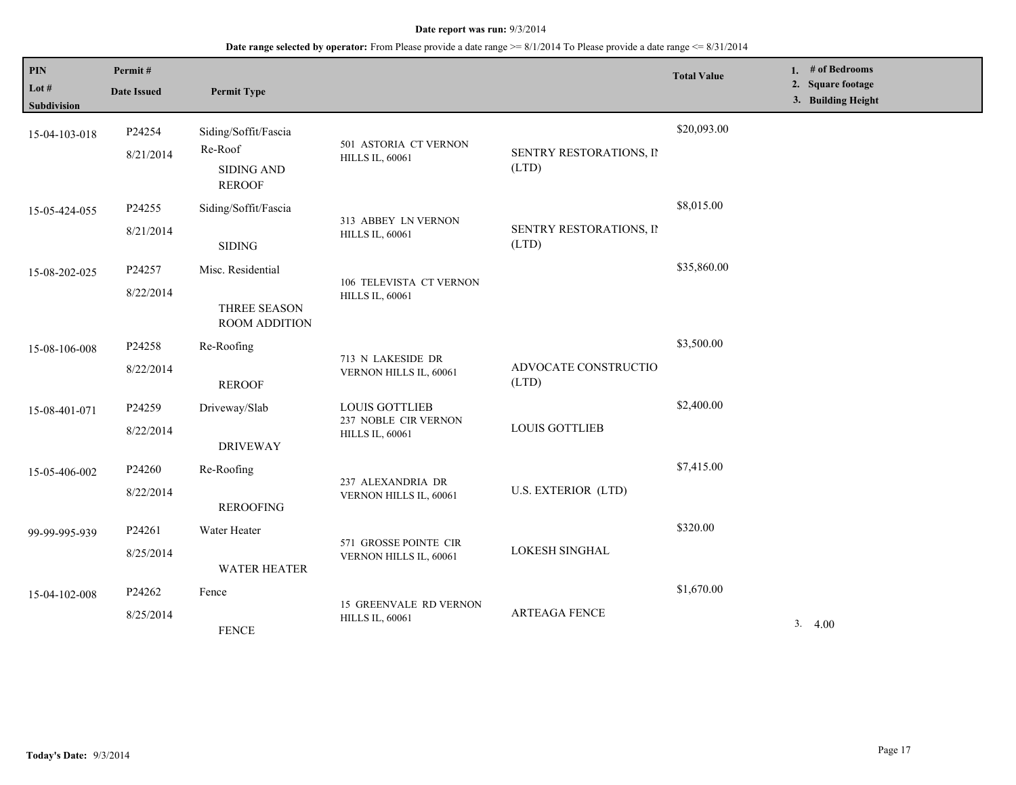| PIN<br>Lot $#$<br>Subdivision | Permit#<br><b>Date Issued</b> | <b>Permit Type</b>                                                    |                                                                         |                                  | <b>Total Value</b> | 1. # of Bedrooms<br>2. Square footage<br>3. Building Height |
|-------------------------------|-------------------------------|-----------------------------------------------------------------------|-------------------------------------------------------------------------|----------------------------------|--------------------|-------------------------------------------------------------|
| 15-04-103-018                 | P24254<br>8/21/2014           | Siding/Soffit/Fascia<br>Re-Roof<br><b>SIDING AND</b><br><b>REROOF</b> | 501 ASTORIA CT VERNON<br><b>HILLS IL, 60061</b>                         | SENTRY RESTORATIONS, II<br>(LTD) | \$20,093.00        |                                                             |
| 15-05-424-055                 | P24255<br>8/21/2014           | Siding/Soffit/Fascia<br><b>SIDING</b>                                 | 313 ABBEY LN VERNON<br><b>HILLS IL, 60061</b>                           | SENTRY RESTORATIONS, II<br>(LTD) | \$8,015.00         |                                                             |
| 15-08-202-025                 | P24257<br>8/22/2014           | Misc. Residential<br>THREE SEASON<br><b>ROOM ADDITION</b>             | 106 TELEVISTA CT VERNON<br><b>HILLS IL, 60061</b>                       |                                  | \$35,860.00        |                                                             |
| 15-08-106-008                 | P24258<br>8/22/2014           | Re-Roofing<br><b>REROOF</b>                                           | 713 N LAKESIDE DR<br>VERNON HILLS IL, 60061                             | ADVOCATE CONSTRUCTIO<br>(LTD)    | \$3,500.00         |                                                             |
| 15-08-401-071                 | P24259<br>8/22/2014           | Driveway/Slab<br><b>DRIVEWAY</b>                                      | <b>LOUIS GOTTLIEB</b><br>237 NOBLE CIR VERNON<br><b>HILLS IL, 60061</b> | <b>LOUIS GOTTLIEB</b>            | \$2,400.00         |                                                             |
| 15-05-406-002                 | P24260<br>8/22/2014           | Re-Roofing<br><b>REROOFING</b>                                        | 237 ALEXANDRIA DR<br>VERNON HILLS IL, 60061                             | U.S. EXTERIOR (LTD)              | \$7,415.00         |                                                             |
| 99-99-995-939                 | P24261<br>8/25/2014           | Water Heater<br><b>WATER HEATER</b>                                   | 571 GROSSE POINTE CIR<br>VERNON HILLS IL, 60061                         | LOKESH SINGHAL                   | \$320.00           |                                                             |
| 15-04-102-008                 | P24262<br>8/25/2014           | Fence<br><b>FENCE</b>                                                 | <b>15 GREENVALE RD VERNON</b><br><b>HILLS IL, 60061</b>                 | <b>ARTEAGA FENCE</b>             | \$1,670.00         | 3.4.00                                                      |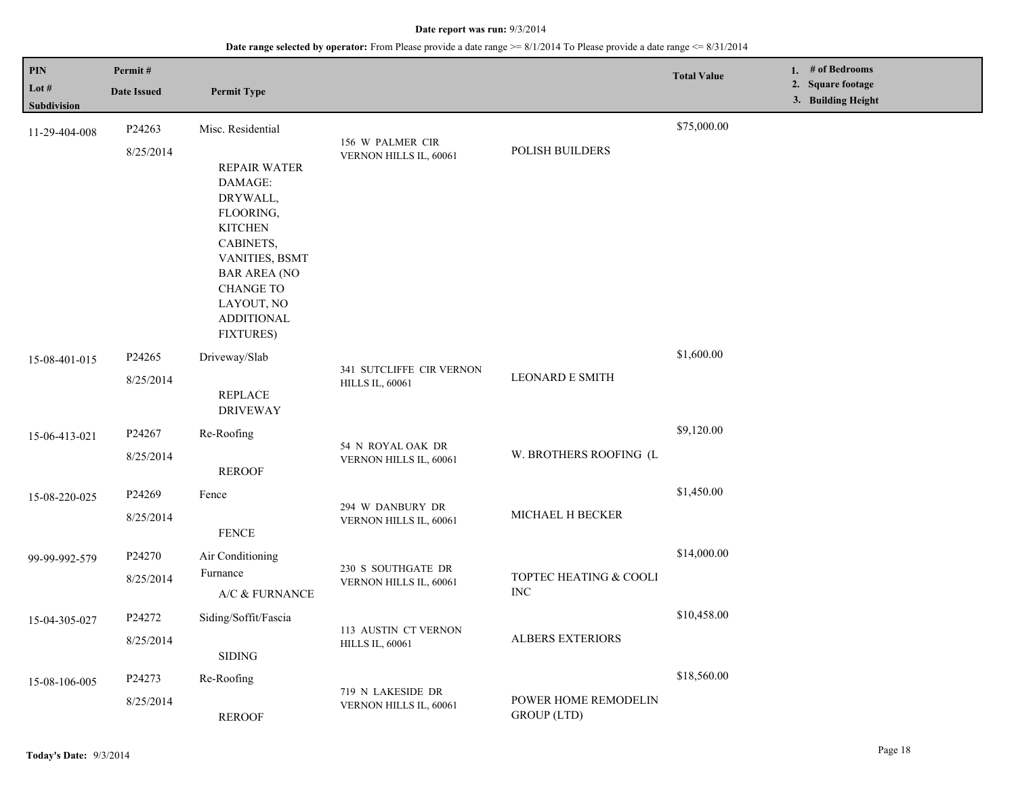| PIN<br>Lot $#$<br>Subdivision | Permit#<br><b>Date Issued</b> | <b>Permit Type</b>                                                                                                                                                                                          |                                                    |                                            | <b>Total Value</b> | 1. # of Bedrooms<br>2. Square footage<br>3. Building Height |
|-------------------------------|-------------------------------|-------------------------------------------------------------------------------------------------------------------------------------------------------------------------------------------------------------|----------------------------------------------------|--------------------------------------------|--------------------|-------------------------------------------------------------|
| 11-29-404-008                 | P24263<br>8/25/2014           | Misc. Residential<br><b>REPAIR WATER</b><br>DAMAGE:<br>DRYWALL,<br>FLOORING,<br><b>KITCHEN</b><br>CABINETS,<br>VANITIES, BSMT<br><b>BAR AREA (NO</b><br><b>CHANGE TO</b><br>LAYOUT, NO<br><b>ADDITIONAL</b> | 156 W PALMER CIR<br>VERNON HILLS IL, 60061         | POLISH BUILDERS                            | \$75,000.00        |                                                             |
| 15-08-401-015                 | P24265<br>8/25/2014           | <b>FIXTURES)</b><br>Driveway/Slab<br>REPLACE<br><b>DRIVEWAY</b>                                                                                                                                             | 341 SUTCLIFFE CIR VERNON<br><b>HILLS IL, 60061</b> | <b>LEONARD E SMITH</b>                     | \$1,600.00         |                                                             |
| 15-06-413-021                 | P24267<br>8/25/2014           | Re-Roofing<br><b>REROOF</b>                                                                                                                                                                                 | 54 N ROYAL OAK DR<br>VERNON HILLS IL, 60061        | W. BROTHERS ROOFING (L                     | \$9,120.00         |                                                             |
| 15-08-220-025                 | P24269<br>8/25/2014           | Fence<br><b>FENCE</b>                                                                                                                                                                                       | 294 W DANBURY DR<br>VERNON HILLS IL, 60061         | MICHAEL H BECKER                           | \$1,450.00         |                                                             |
| 99-99-992-579                 | P24270<br>8/25/2014           | Air Conditioning<br>Furnance<br>A/C & FURNANCE                                                                                                                                                              | 230 S SOUTHGATE DR<br>VERNON HILLS IL, 60061       | TOPTEC HEATING & COOLI<br>$\rm{INC}$       | \$14,000.00        |                                                             |
| 15-04-305-027                 | P24272<br>8/25/2014           | Siding/Soffit/Fascia<br><b>SIDING</b>                                                                                                                                                                       | 113 AUSTIN CT VERNON<br><b>HILLS IL, 60061</b>     | <b>ALBERS EXTERIORS</b>                    | \$10,458.00        |                                                             |
| 15-08-106-005                 | P24273<br>8/25/2014           | Re-Roofing<br><b>REROOF</b>                                                                                                                                                                                 | 719 N LAKESIDE DR<br>VERNON HILLS IL, 60061        | POWER HOME REMODELIN<br><b>GROUP</b> (LTD) | \$18,560.00        |                                                             |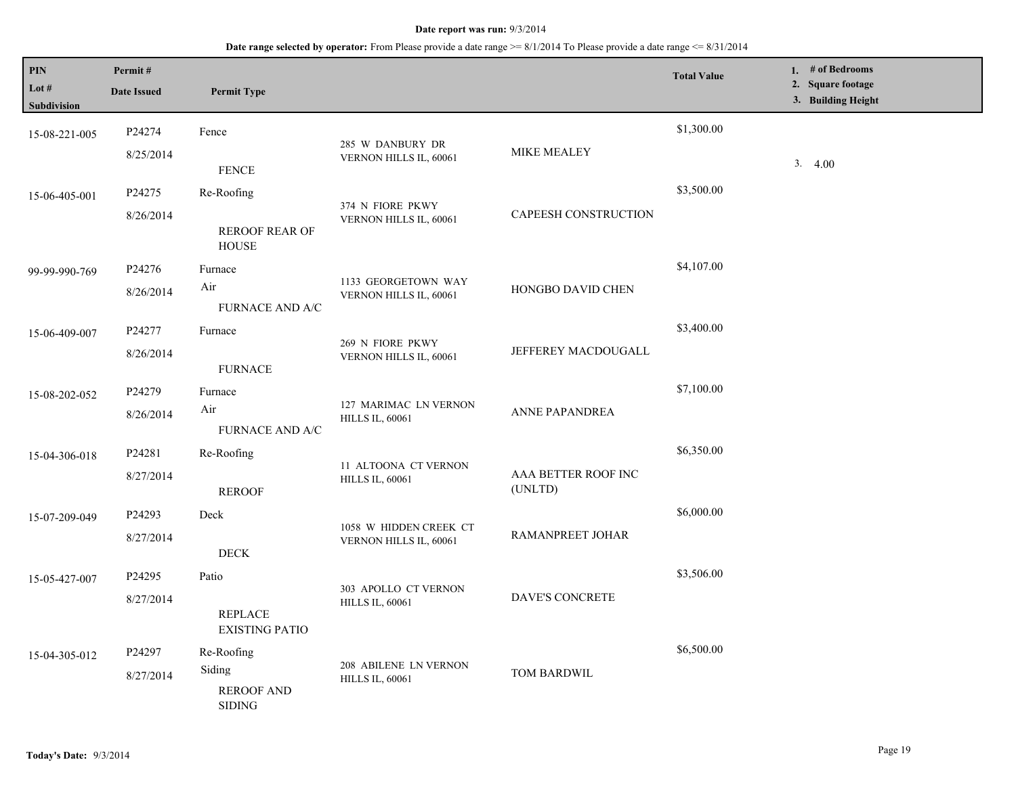| PIN                         | Permit#                                                                                                      |                                         |                                                 |                                | <b>Total Value</b> | 1. $#$ of Bedrooms<br>2. Square footage |
|-----------------------------|--------------------------------------------------------------------------------------------------------------|-----------------------------------------|-------------------------------------------------|--------------------------------|--------------------|-----------------------------------------|
| Lot #<br><b>Subdivision</b> | <b>Date Issued</b>                                                                                           | <b>Permit Type</b>                      |                                                 |                                |                    | 3. Building Height                      |
| 15-08-221-005               | P24274                                                                                                       | Fence                                   |                                                 |                                | \$1,300.00         |                                         |
|                             | 8/25/2014                                                                                                    | <b>FENCE</b>                            | 285 W DANBURY DR<br>VERNON HILLS IL, 60061      | MIKE MEALEY                    |                    | 3.4.00                                  |
| 15-06-405-001               | P24275                                                                                                       | Re-Roofing                              |                                                 |                                | \$3,500.00         |                                         |
|                             | 8/26/2014                                                                                                    | <b>REROOF REAR OF</b><br><b>HOUSE</b>   | 374 N FIORE PKWY<br>VERNON HILLS IL, 60061      | CAPEESH CONSTRUCTION           |                    |                                         |
| 99-99-990-769               | P24276                                                                                                       | Furnace                                 |                                                 |                                | \$4,107.00         |                                         |
|                             | 8/26/2014                                                                                                    | Air<br><b>FURNACE AND A/C</b>           | 1133 GEORGETOWN WAY<br>VERNON HILLS IL, 60061   | HONGBO DAVID CHEN              |                    |                                         |
| 15-06-409-007               | P24277                                                                                                       | Furnace                                 | 269 N FIORE PKWY                                |                                | \$3,400.00         |                                         |
|                             | 8/26/2014                                                                                                    | <b>FURNACE</b>                          | VERNON HILLS IL, 60061                          | JEFFEREY MACDOUGALL            |                    |                                         |
| 15-08-202-052               | P24279                                                                                                       | Furnace                                 | 127 MARIMAC LN VERNON<br><b>HILLS IL, 60061</b> | ANNE PAPANDREA                 | \$7,100.00         |                                         |
|                             | 8/26/2014                                                                                                    | Air<br><b>FURNACE AND A/C</b>           |                                                 |                                |                    |                                         |
| 15-04-306-018               | P24281                                                                                                       | Re-Roofing                              |                                                 |                                | \$6,350.00         |                                         |
|                             | 8/27/2014                                                                                                    | <b>REROOF</b>                           | 11 ALTOONA CT VERNON<br><b>HILLS IL, 60061</b>  | AAA BETTER ROOF INC<br>(UNLTD) |                    |                                         |
| 15-07-209-049               | P24293                                                                                                       | Deck                                    | 1058 W HIDDEN CREEK CT                          |                                | \$6,000.00         |                                         |
|                             | 8/27/2014                                                                                                    | <b>DECK</b>                             | VERNON HILLS IL, 60061                          | <b>RAMANPREET JOHAR</b>        |                    |                                         |
| 15-05-427-007               | P24295                                                                                                       | Patio                                   | 303 APOLLO CT VERNON                            |                                | \$3,506.00         |                                         |
|                             | 8/27/2014                                                                                                    | <b>REPLACE</b><br><b>EXISTING PATIO</b> | <b>HILLS IL, 60061</b>                          | <b>DAVE'S CONCRETE</b>         |                    |                                         |
| 15-04-305-012               | P24297                                                                                                       | Re-Roofing                              |                                                 |                                | \$6,500.00         |                                         |
|                             | 208 ABILENE LN VERNON<br>Siding<br>8/27/2014<br><b>HILLS IL, 60061</b><br><b>REROOF AND</b><br><b>SIDING</b> |                                         | TOM BARDWIL                                     |                                |                    |                                         |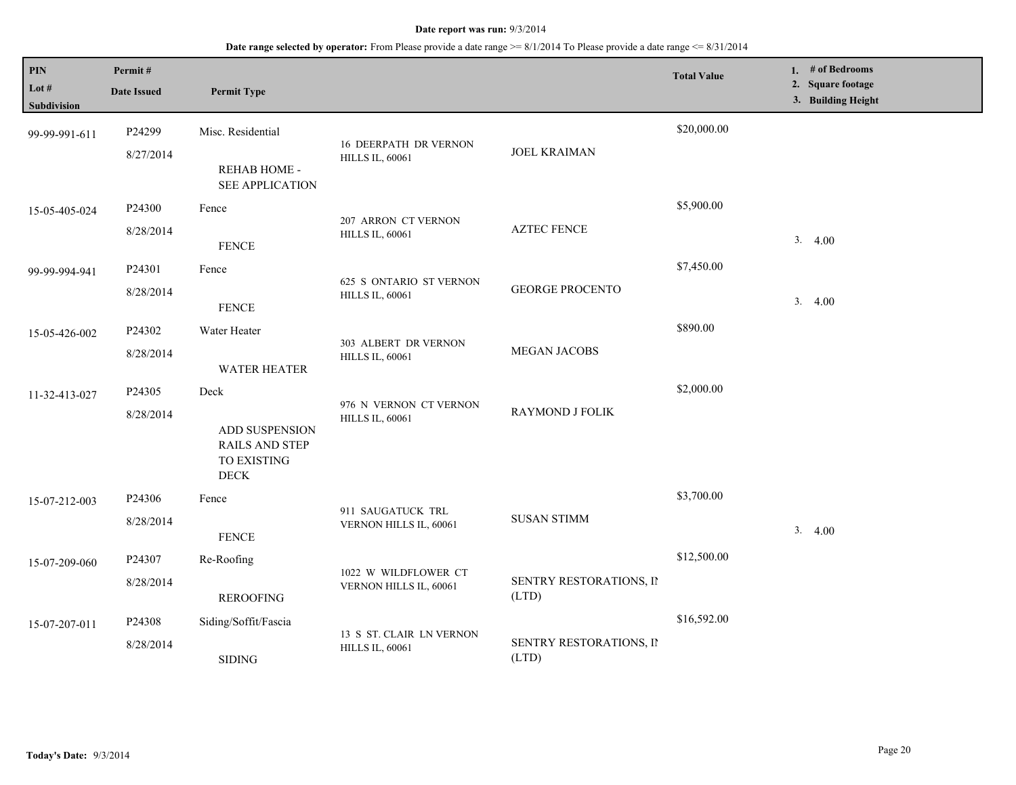| PIN<br>Lot $#$<br><b>Subdivision</b> | Permit#<br><b>Date Issued</b> | <b>Permit Type</b>                                                            |                                                        |                                  | <b>Total Value</b> | 1. # of Bedrooms<br>2. Square footage<br>3. Building Height |
|--------------------------------------|-------------------------------|-------------------------------------------------------------------------------|--------------------------------------------------------|----------------------------------|--------------------|-------------------------------------------------------------|
| 99-99-991-611                        | P24299<br>8/27/2014           | Misc. Residential<br>REHAB HOME -<br>SEE APPLICATION                          | <b>16 DEERPATH DR VERNON</b><br><b>HILLS IL, 60061</b> | <b>JOEL KRAIMAN</b>              | \$20,000.00        |                                                             |
| 15-05-405-024                        | P24300<br>8/28/2014           | Fence<br><b>FENCE</b>                                                         | 207 ARRON CT VERNON<br><b>HILLS IL, 60061</b>          | <b>AZTEC FENCE</b>               | \$5,900.00         | 3.4.00                                                      |
| 99-99-994-941                        | P24301<br>8/28/2014           | Fence<br><b>FENCE</b>                                                         | 625 S ONTARIO ST VERNON<br><b>HILLS IL, 60061</b>      | <b>GEORGE PROCENTO</b>           | \$7,450.00         | 3.4.00                                                      |
| 15-05-426-002                        | P24302<br>8/28/2014           | Water Heater<br><b>WATER HEATER</b>                                           | 303 ALBERT DR VERNON<br><b>HILLS IL, 60061</b>         | MEGAN JACOBS                     | \$890.00           |                                                             |
| 11-32-413-027                        | P24305<br>8/28/2014           | Deck<br>ADD SUSPENSION<br><b>RAILS AND STEP</b><br>TO EXISTING<br>$\rm{DECK}$ | 976 N VERNON CT VERNON<br><b>HILLS IL, 60061</b>       | <b>RAYMOND J FOLIK</b>           | \$2,000.00         |                                                             |
| 15-07-212-003                        | P24306<br>8/28/2014           | Fence<br><b>FENCE</b>                                                         | 911 SAUGATUCK TRL<br>VERNON HILLS IL, 60061            | <b>SUSAN STIMM</b>               | \$3,700.00         | 3.4.00                                                      |
| 15-07-209-060                        | P24307<br>8/28/2014           | Re-Roofing<br><b>REROOFING</b>                                                | 1022 W WILDFLOWER CT<br>VERNON HILLS IL, 60061         | SENTRY RESTORATIONS, II<br>(LTD) | \$12,500.00        |                                                             |
| 15-07-207-011                        | P24308<br>8/28/2014           | Siding/Soffit/Fascia<br><b>SIDING</b>                                         | 13 S ST. CLAIR LN VERNON<br><b>HILLS IL, 60061</b>     | SENTRY RESTORATIONS, II<br>(LTD) | \$16,592.00        |                                                             |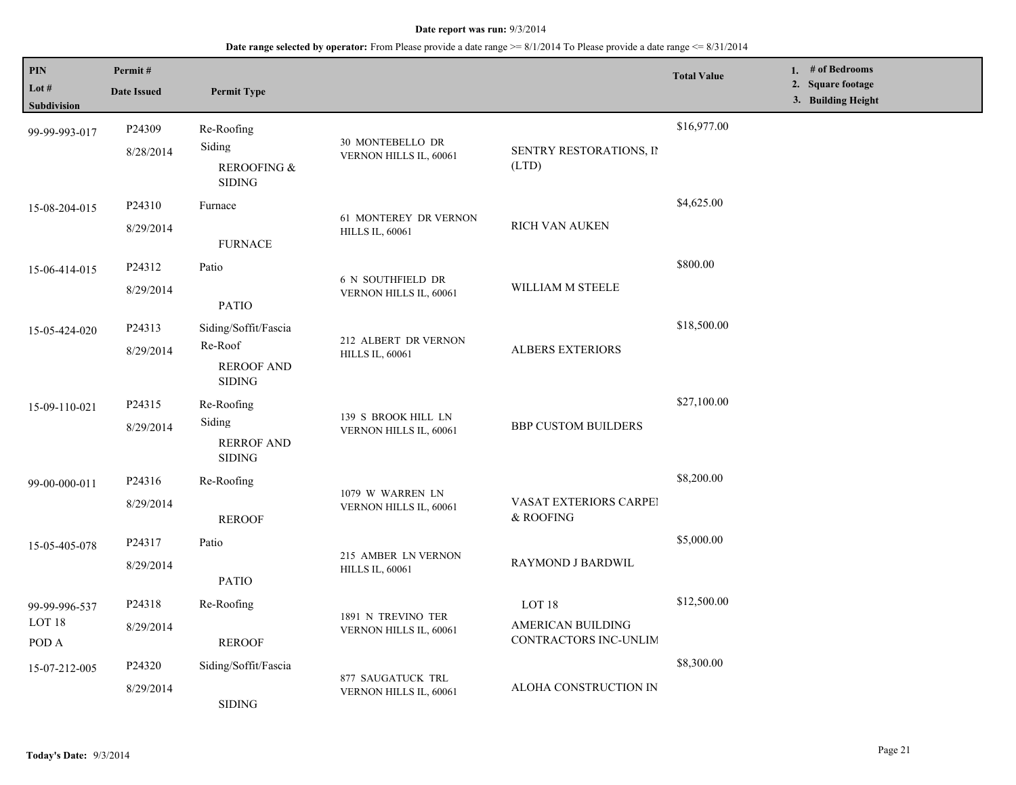| PIN<br>Lot #               | Permit#            |                                               |                                                 |                                            | <b>Total Value</b> | 1. # of Bedrooms<br>2. Square footage |
|----------------------------|--------------------|-----------------------------------------------|-------------------------------------------------|--------------------------------------------|--------------------|---------------------------------------|
| <b>Subdivision</b>         | <b>Date Issued</b> | <b>Permit Type</b>                            |                                                 |                                            |                    | 3. Building Height                    |
| 99-99-993-017              | P24309             | Re-Roofing                                    | 30 MONTEBELLO DR                                |                                            | \$16,977.00        |                                       |
|                            | 8/28/2014          | Siding<br>REROOFING &<br><b>SIDING</b>        | VERNON HILLS IL, 60061<br>(LTD)                 | SENTRY RESTORATIONS, II                    |                    |                                       |
| 15-08-204-015              | P24310             | Furnace                                       |                                                 |                                            | \$4,625.00         |                                       |
|                            | 8/29/2014          | <b>FURNACE</b>                                | 61 MONTEREY DR VERNON<br><b>HILLS IL, 60061</b> | RICH VAN AUKEN                             |                    |                                       |
| 15-06-414-015              | P24312             | Patio                                         |                                                 |                                            | \$800.00           |                                       |
|                            | 8/29/2014          | <b>PATIO</b>                                  | 6 N SOUTHFIELD DR<br>VERNON HILLS IL, 60061     | WILLIAM M STEELE                           |                    |                                       |
| 15-05-424-020              | P24313             | Siding/Soffit/Fascia                          |                                                 |                                            | \$18,500.00        |                                       |
|                            | 8/29/2014          | Re-Roof<br><b>REROOF AND</b><br><b>SIDING</b> | 212 ALBERT DR VERNON<br><b>HILLS IL, 60061</b>  | <b>ALBERS EXTERIORS</b>                    |                    |                                       |
| 15-09-110-021              | P24315             | Re-Roofing                                    | 139 S BROOK HILL LN<br>VERNON HILLS IL, 60061   | <b>BBP CUSTOM BUILDERS</b>                 | \$27,100.00        |                                       |
|                            | 8/29/2014          | Siding                                        |                                                 |                                            |                    |                                       |
|                            |                    | <b>RERROF AND</b><br><b>SIDING</b>            |                                                 |                                            |                    |                                       |
| 99-00-000-011              | P24316             | Re-Roofing                                    |                                                 |                                            | \$8,200.00         |                                       |
|                            | 8/29/2014          | <b>REROOF</b>                                 | 1079 W WARREN LN<br>VERNON HILLS IL, 60061      | VASAT EXTERIORS CARPEI<br>& ROOFING        |                    |                                       |
| 15-05-405-078              | P24317             | Patio                                         |                                                 |                                            | \$5,000.00         |                                       |
|                            | 8/29/2014          | <b>PATIO</b>                                  | 215 AMBER LN VERNON<br><b>HILLS IL, 60061</b>   | RAYMOND J BARDWIL                          |                    |                                       |
| 99-99-996-537              | P24318             | Re-Roofing                                    |                                                 | LOT 18                                     | \$12,500.00        |                                       |
| LOT <sub>18</sub><br>POD A | 8/29/2014          | <b>REROOF</b>                                 | 1891 N TREVINO TER<br>VERNON HILLS IL, 60061    | AMERICAN BUILDING<br>CONTRACTORS INC-UNLIM |                    |                                       |
| 15-07-212-005              | P24320             | Siding/Soffit/Fascia                          |                                                 |                                            | \$8,300.00         |                                       |
|                            | 8/29/2014          | <b>SIDING</b>                                 | 877 SAUGATUCK TRL<br>VERNON HILLS IL, 60061     | ALOHA CONSTRUCTION IN                      |                    |                                       |